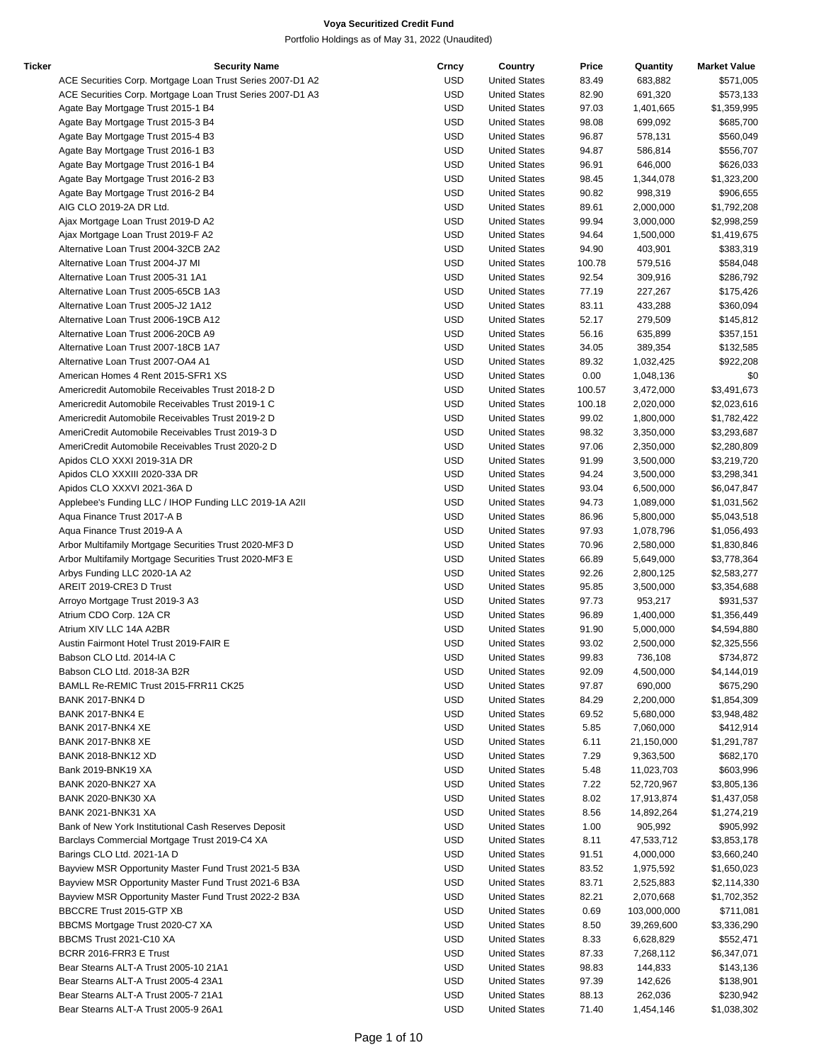| Ticker | <b>Security Name</b>                                       | Crncy      | Country              | Price  | Quantity    | <b>Market Value</b> |
|--------|------------------------------------------------------------|------------|----------------------|--------|-------------|---------------------|
|        | ACE Securities Corp. Mortgage Loan Trust Series 2007-D1 A2 | <b>USD</b> | <b>United States</b> | 83.49  | 683,882     | \$571,005           |
|        | ACE Securities Corp. Mortgage Loan Trust Series 2007-D1 A3 | USD        | <b>United States</b> | 82.90  | 691,320     | \$573,133           |
|        | Agate Bay Mortgage Trust 2015-1 B4                         | USD        | <b>United States</b> | 97.03  | 1,401,665   | \$1,359,995         |
|        | Agate Bay Mortgage Trust 2015-3 B4                         | <b>USD</b> | <b>United States</b> | 98.08  | 699,092     | \$685,700           |
|        | Agate Bay Mortgage Trust 2015-4 B3                         | <b>USD</b> | <b>United States</b> | 96.87  | 578,131     | \$560,049           |
|        | Agate Bay Mortgage Trust 2016-1 B3                         | USD        | <b>United States</b> | 94.87  | 586,814     | \$556,707           |
|        | Agate Bay Mortgage Trust 2016-1 B4                         | <b>USD</b> | <b>United States</b> | 96.91  | 646,000     | \$626,033           |
|        | Agate Bay Mortgage Trust 2016-2 B3                         | <b>USD</b> | <b>United States</b> | 98.45  | 1,344,078   | \$1,323,200         |
|        | Agate Bay Mortgage Trust 2016-2 B4                         | <b>USD</b> | <b>United States</b> | 90.82  | 998,319     | \$906,655           |
|        | AIG CLO 2019-2A DR Ltd.                                    | USD        | <b>United States</b> | 89.61  | 2,000,000   | \$1,792,208         |
|        | Ajax Mortgage Loan Trust 2019-D A2                         | USD        | <b>United States</b> | 99.94  | 3,000,000   | \$2,998,259         |
|        | Ajax Mortgage Loan Trust 2019-F A2                         | USD        | <b>United States</b> | 94.64  | 1,500,000   | \$1,419,675         |
|        | Alternative Loan Trust 2004-32CB 2A2                       | <b>USD</b> | <b>United States</b> | 94.90  | 403,901     | \$383,319           |
|        | Alternative Loan Trust 2004-J7 MI                          | USD        | <b>United States</b> | 100.78 | 579,516     | \$584,048           |
|        | Alternative Loan Trust 2005-31 1A1                         | <b>USD</b> | <b>United States</b> | 92.54  | 309,916     | \$286,792           |
|        | Alternative Loan Trust 2005-65CB 1A3                       | <b>USD</b> | <b>United States</b> | 77.19  | 227,267     | \$175,426           |
|        | Alternative Loan Trust 2005-J2 1A12                        | <b>USD</b> |                      |        |             |                     |
|        |                                                            |            | <b>United States</b> | 83.11  | 433,288     | \$360,094           |
|        | Alternative Loan Trust 2006-19CB A12                       | USD        | <b>United States</b> | 52.17  | 279,509     | \$145,812           |
|        | Alternative Loan Trust 2006-20CB A9                        | USD        | <b>United States</b> | 56.16  | 635,899     | \$357,151           |
|        | Alternative Loan Trust 2007-18CB 1A7                       | USD        | <b>United States</b> | 34.05  | 389,354     | \$132,585           |
|        | Alternative Loan Trust 2007-OA4 A1                         | <b>USD</b> | <b>United States</b> | 89.32  | 1,032,425   | \$922,208           |
|        | American Homes 4 Rent 2015-SFR1 XS                         | USD        | <b>United States</b> | 0.00   | 1,048,136   | \$0                 |
|        | Americredit Automobile Receivables Trust 2018-2 D          | <b>USD</b> | <b>United States</b> | 100.57 | 3,472,000   | \$3,491,673         |
|        | Americredit Automobile Receivables Trust 2019-1 C          | <b>USD</b> | <b>United States</b> | 100.18 | 2,020,000   | \$2,023,616         |
|        | Americredit Automobile Receivables Trust 2019-2 D          | <b>USD</b> | <b>United States</b> | 99.02  | 1,800,000   | \$1,782,422         |
|        | AmeriCredit Automobile Receivables Trust 2019-3 D          | USD        | <b>United States</b> | 98.32  | 3,350,000   | \$3,293,687         |
|        | AmeriCredit Automobile Receivables Trust 2020-2 D          | USD        | <b>United States</b> | 97.06  | 2,350,000   | \$2,280,809         |
|        | Apidos CLO XXXI 2019-31A DR                                | <b>USD</b> | <b>United States</b> | 91.99  | 3,500,000   | \$3,219,720         |
|        | Apidos CLO XXXIII 2020-33A DR                              | <b>USD</b> | <b>United States</b> | 94.24  | 3,500,000   | \$3,298,341         |
|        | Apidos CLO XXXVI 2021-36A D                                | USD        | <b>United States</b> | 93.04  | 6,500,000   | \$6,047,847         |
|        | Applebee's Funding LLC / IHOP Funding LLC 2019-1A A2II     | <b>USD</b> | <b>United States</b> | 94.73  | 1,089,000   | \$1,031,562         |
|        | Aqua Finance Trust 2017-A B                                | <b>USD</b> | <b>United States</b> | 86.96  | 5,800,000   | \$5,043,518         |
|        | Aqua Finance Trust 2019-A A                                | <b>USD</b> | <b>United States</b> | 97.93  | 1,078,796   | \$1,056,493         |
|        | Arbor Multifamily Mortgage Securities Trust 2020-MF3 D     | USD        | <b>United States</b> | 70.96  | 2,580,000   | \$1,830,846         |
|        | Arbor Multifamily Mortgage Securities Trust 2020-MF3 E     | USD        | <b>United States</b> | 66.89  | 5,649,000   | \$3,778,364         |
|        | Arbys Funding LLC 2020-1A A2                               | USD        | <b>United States</b> | 92.26  | 2,800,125   | \$2,583,277         |
|        | AREIT 2019-CRE3 D Trust                                    | <b>USD</b> | <b>United States</b> | 95.85  | 3,500,000   | \$3,354,688         |
|        | Arroyo Mortgage Trust 2019-3 A3                            | USD        | <b>United States</b> | 97.73  | 953,217     | \$931,537           |
|        | Atrium CDO Corp. 12A CR                                    | USD        | <b>United States</b> | 96.89  | 1,400,000   | \$1,356,449         |
|        | Atrium XIV LLC 14A A2BR                                    | <b>USD</b> | <b>United States</b> | 91.90  | 5,000,000   | \$4,594,880         |
|        | Austin Fairmont Hotel Trust 2019-FAIR E                    | <b>USD</b> | <b>United States</b> | 93.02  | 2,500,000   | \$2,325,556         |
|        | Babson CLO Ltd. 2014-IA C                                  | <b>USD</b> | <b>United States</b> | 99.83  | 736,108     | \$734,872           |
|        | Babson CLO Ltd. 2018-3A B2R                                | USD        | <b>United States</b> | 92.09  | 4,500,000   | \$4,144,019         |
|        | BAMLL Re-REMIC Trust 2015-FRR11 CK25                       | <b>USD</b> | <b>United States</b> | 97.87  | 690,000     | \$675,290           |
|        | BANK 2017-BNK4 D                                           | <b>USD</b> | <b>United States</b> | 84.29  | 2,200,000   | \$1,854,309         |
|        | <b>BANK 2017-BNK4 E</b>                                    | <b>USD</b> | <b>United States</b> | 69.52  |             |                     |
|        |                                                            |            |                      |        | 5,680,000   | \$3,948,482         |
|        | BANK 2017-BNK4 XE                                          | <b>USD</b> | <b>United States</b> | 5.85   | 7,060,000   | \$412,914           |
|        | BANK 2017-BNK8 XE                                          | USD        | <b>United States</b> | 6.11   | 21,150,000  | \$1,291,787         |
|        | <b>BANK 2018-BNK12 XD</b>                                  | <b>USD</b> | <b>United States</b> | 7.29   | 9,363,500   | \$682,170           |
|        | Bank 2019-BNK19 XA                                         | <b>USD</b> | <b>United States</b> | 5.48   | 11,023,703  | \$603,996           |
|        | <b>BANK 2020-BNK27 XA</b>                                  | <b>USD</b> | <b>United States</b> | 7.22   | 52,720,967  | \$3,805,136         |
|        | <b>BANK 2020-BNK30 XA</b>                                  | <b>USD</b> | <b>United States</b> | 8.02   | 17,913,874  | \$1,437,058         |
|        | BANK 2021-BNK31 XA                                         | <b>USD</b> | <b>United States</b> | 8.56   | 14,892,264  | \$1,274,219         |
|        | Bank of New York Institutional Cash Reserves Deposit       | USD        | <b>United States</b> | 1.00   | 905,992     | \$905,992           |
|        | Barclays Commercial Mortgage Trust 2019-C4 XA              | USD        | <b>United States</b> | 8.11   | 47,533,712  | \$3,853,178         |
|        | Barings CLO Ltd. 2021-1A D                                 | USD        | <b>United States</b> | 91.51  | 4,000,000   | \$3,660,240         |
|        | Bayview MSR Opportunity Master Fund Trust 2021-5 B3A       | <b>USD</b> | <b>United States</b> | 83.52  | 1,975,592   | \$1,650,023         |
|        | Bayview MSR Opportunity Master Fund Trust 2021-6 B3A       | USD        | <b>United States</b> | 83.71  | 2,525,883   | \$2,114,330         |
|        | Bayview MSR Opportunity Master Fund Trust 2022-2 B3A       | USD        | <b>United States</b> | 82.21  | 2,070,668   | \$1,702,352         |
|        | BBCCRE Trust 2015-GTP XB                                   | <b>USD</b> | <b>United States</b> | 0.69   | 103,000,000 | \$711,081           |
|        | BBCMS Mortgage Trust 2020-C7 XA                            | <b>USD</b> | <b>United States</b> | 8.50   | 39,269,600  | \$3,336,290         |
|        | BBCMS Trust 2021-C10 XA                                    | <b>USD</b> | <b>United States</b> | 8.33   | 6,628,829   | \$552,471           |
|        | BCRR 2016-FRR3 E Trust                                     | USD        | <b>United States</b> | 87.33  | 7,268,112   | \$6,347,071         |
|        | Bear Stearns ALT-A Trust 2005-10 21A1                      | USD        | <b>United States</b> | 98.83  | 144,833     | \$143,136           |
|        | Bear Stearns ALT-A Trust 2005-4 23A1                       | <b>USD</b> | <b>United States</b> | 97.39  | 142,626     | \$138,901           |
|        | Bear Stearns ALT-A Trust 2005-7 21A1                       | USD        | <b>United States</b> | 88.13  | 262,036     | \$230,942           |
|        | Bear Stearns ALT-A Trust 2005-9 26A1                       | <b>USD</b> | <b>United States</b> | 71.40  | 1,454,146   | \$1,038,302         |
|        |                                                            |            |                      |        |             |                     |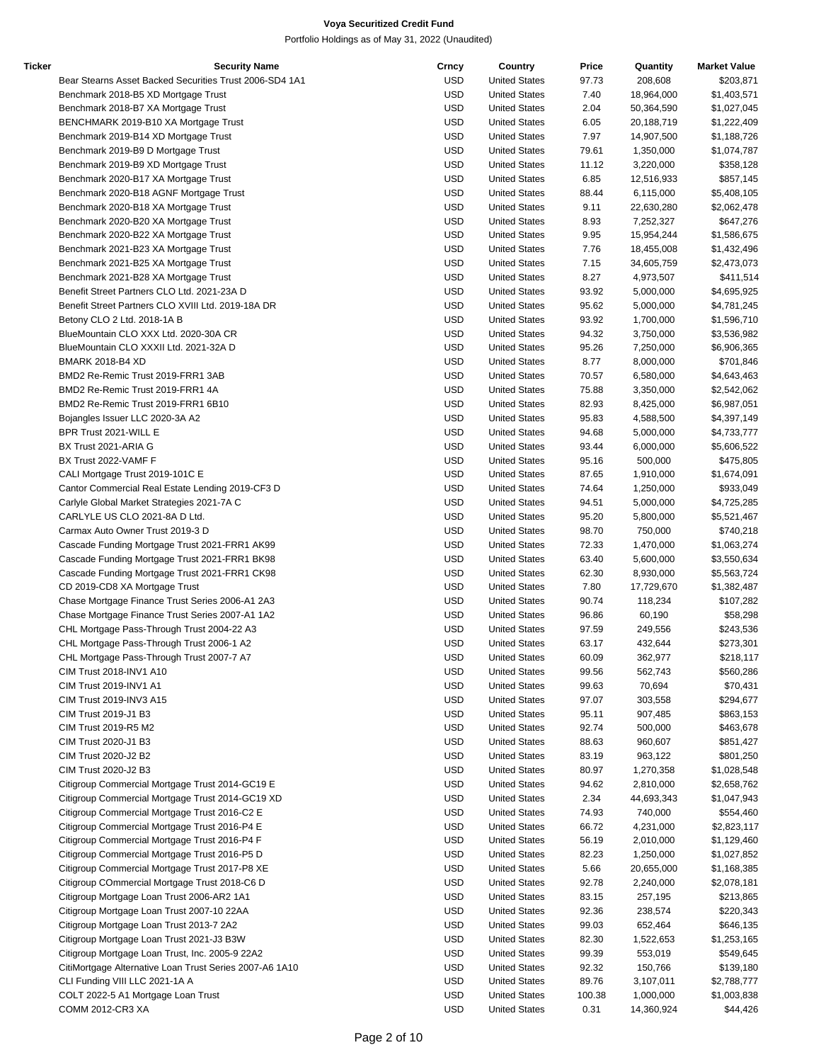| Ticker | <b>Security Name</b>                                    | Crncy      | Country              | Price  | Quantity                | <b>Market Value</b>      |
|--------|---------------------------------------------------------|------------|----------------------|--------|-------------------------|--------------------------|
|        | Bear Stearns Asset Backed Securities Trust 2006-SD4 1A1 | <b>USD</b> | <b>United States</b> | 97.73  | 208,608                 | \$203,871                |
|        | Benchmark 2018-B5 XD Mortgage Trust                     | <b>USD</b> | <b>United States</b> | 7.40   | 18,964,000              | \$1,403,571              |
|        | Benchmark 2018-B7 XA Mortgage Trust                     | <b>USD</b> | <b>United States</b> | 2.04   | 50,364,590              | \$1,027,045              |
|        | BENCHMARK 2019-B10 XA Mortgage Trust                    | <b>USD</b> | <b>United States</b> | 6.05   | 20,188,719              | \$1,222,409              |
|        | Benchmark 2019-B14 XD Mortgage Trust                    | <b>USD</b> | <b>United States</b> | 7.97   | 14,907,500              | \$1,188,726              |
|        | Benchmark 2019-B9 D Mortgage Trust                      | USD        | <b>United States</b> | 79.61  | 1,350,000               | \$1,074,787              |
|        | Benchmark 2019-B9 XD Mortgage Trust                     | <b>USD</b> | <b>United States</b> | 11.12  | 3,220,000               | \$358,128                |
|        | Benchmark 2020-B17 XA Mortgage Trust                    | <b>USD</b> | <b>United States</b> | 6.85   | 12,516,933              | \$857,145                |
|        | Benchmark 2020-B18 AGNF Mortgage Trust                  | <b>USD</b> | <b>United States</b> | 88.44  | 6,115,000               | \$5,408,105              |
|        | Benchmark 2020-B18 XA Mortgage Trust                    | USD        | <b>United States</b> | 9.11   |                         |                          |
|        | Benchmark 2020-B20 XA Mortgage Trust                    |            |                      |        | 22,630,280<br>7,252,327 | \$2,062,478<br>\$647,276 |
|        |                                                         | USD        | <b>United States</b> | 8.93   |                         |                          |
|        | Benchmark 2020-B22 XA Mortgage Trust                    | USD        | <b>United States</b> | 9.95   | 15,954,244              | \$1,586,675              |
|        | Benchmark 2021-B23 XA Mortgage Trust                    | <b>USD</b> | <b>United States</b> | 7.76   | 18,455,008              | \$1,432,496              |
|        | Benchmark 2021-B25 XA Mortgage Trust                    | USD        | <b>United States</b> | 7.15   | 34,605,759              | \$2,473,073              |
|        | Benchmark 2021-B28 XA Mortgage Trust                    | <b>USD</b> | <b>United States</b> | 8.27   | 4,973,507               | \$411,514                |
|        | Benefit Street Partners CLO Ltd. 2021-23A D             | <b>USD</b> | <b>United States</b> | 93.92  | 5,000,000               | \$4,695,925              |
|        | Benefit Street Partners CLO XVIII Ltd. 2019-18A DR      | <b>USD</b> | <b>United States</b> | 95.62  | 5,000,000               | \$4,781,245              |
|        | Betony CLO 2 Ltd. 2018-1A B                             | USD        | <b>United States</b> | 93.92  | 1,700,000               | \$1,596,710              |
|        | BlueMountain CLO XXX Ltd. 2020-30A CR                   | USD        | <b>United States</b> | 94.32  | 3,750,000               | \$3,536,982              |
|        | BlueMountain CLO XXXII Ltd. 2021-32A D                  | <b>USD</b> | <b>United States</b> | 95.26  | 7,250,000               | \$6,906,365              |
|        | <b>BMARK 2018-B4 XD</b>                                 | <b>USD</b> | <b>United States</b> | 8.77   | 8,000,000               | \$701,846                |
|        | BMD2 Re-Remic Trust 2019-FRR1 3AB                       | USD        | <b>United States</b> | 70.57  | 6,580,000               | \$4,643,463              |
|        | BMD2 Re-Remic Trust 2019-FRR1 4A                        | <b>USD</b> | <b>United States</b> | 75.88  | 3,350,000               | \$2,542,062              |
|        | BMD2 Re-Remic Trust 2019-FRR1 6B10                      | <b>USD</b> | <b>United States</b> | 82.93  | 8,425,000               | \$6,987,051              |
|        | Bojangles Issuer LLC 2020-3A A2                         | <b>USD</b> | <b>United States</b> | 95.83  | 4,588,500               | \$4,397,149              |
|        | BPR Trust 2021-WILL E                                   | <b>USD</b> | <b>United States</b> | 94.68  | 5,000,000               | \$4,733,777              |
|        | BX Trust 2021-ARIA G                                    | USD        | <b>United States</b> | 93.44  | 6,000,000               | \$5,606,522              |
|        | BX Trust 2022-VAMF F                                    | <b>USD</b> | <b>United States</b> | 95.16  | 500,000                 | \$475,805                |
|        | CALI Mortgage Trust 2019-101C E                         | <b>USD</b> | <b>United States</b> | 87.65  | 1,910,000               | \$1,674,091              |
|        | Cantor Commercial Real Estate Lending 2019-CF3 D        | USD        | <b>United States</b> | 74.64  | 1,250,000               | \$933,049                |
|        | Carlyle Global Market Strategies 2021-7A C              | <b>USD</b> | <b>United States</b> | 94.51  | 5,000,000               | \$4,725,285              |
|        | CARLYLE US CLO 2021-8A D Ltd.                           | <b>USD</b> | <b>United States</b> | 95.20  | 5,800,000               | \$5,521,467              |
|        | Carmax Auto Owner Trust 2019-3 D                        | <b>USD</b> | <b>United States</b> | 98.70  | 750,000                 | \$740,218                |
|        |                                                         |            |                      |        |                         |                          |
|        | Cascade Funding Mortgage Trust 2021-FRR1 AK99           | USD        | <b>United States</b> | 72.33  | 1,470,000               | \$1,063,274              |
|        | Cascade Funding Mortgage Trust 2021-FRR1 BK98           | USD        | <b>United States</b> | 63.40  | 5,600,000               | \$3,550,634              |
|        | Cascade Funding Mortgage Trust 2021-FRR1 CK98           | USD        | <b>United States</b> | 62.30  | 8,930,000               | \$5,563,724              |
|        | CD 2019-CD8 XA Mortgage Trust                           | <b>USD</b> | <b>United States</b> | 7.80   | 17,729,670              | \$1,382,487              |
|        | Chase Mortgage Finance Trust Series 2006-A1 2A3         | USD        | <b>United States</b> | 90.74  | 118,234                 | \$107,282                |
|        | Chase Mortgage Finance Trust Series 2007-A1 1A2         | USD        | <b>United States</b> | 96.86  | 60,190                  | \$58,298                 |
|        | CHL Mortgage Pass-Through Trust 2004-22 A3              | <b>USD</b> | <b>United States</b> | 97.59  | 249,556                 | \$243,536                |
|        | CHL Mortgage Pass-Through Trust 2006-1 A2               | <b>USD</b> | <b>United States</b> | 63.17  | 432,644                 | \$273,301                |
|        | CHL Mortgage Pass-Through Trust 2007-7 A7               | USD        | <b>United States</b> | 60.09  | 362,977                 | \$218,117                |
|        | CIM Trust 2018-INV1 A10                                 | USD        | <b>United States</b> | 99.56  | 562,743                 | \$560,286                |
|        | CIM Trust 2019-INV1 A1                                  | <b>USD</b> | <b>United States</b> | 99.63  | 70,694                  | \$70,431                 |
|        | CIM Trust 2019-INV3 A15                                 | <b>USD</b> | <b>United States</b> | 97.07  | 303,558                 | \$294,677                |
|        | CIM Trust 2019-J1 B3                                    | <b>USD</b> | <b>United States</b> | 95.11  | 907,485                 | \$863,153                |
|        | CIM Trust 2019-R5 M2                                    | USD        | <b>United States</b> | 92.74  | 500,000                 | \$463,678                |
|        | CIM Trust 2020-J1 B3                                    | USD        | <b>United States</b> | 88.63  | 960,607                 | \$851,427                |
|        | CIM Trust 2020-J2 B2                                    | <b>USD</b> | <b>United States</b> | 83.19  | 963,122                 | \$801,250                |
|        | CIM Trust 2020-J2 B3                                    | USD        | <b>United States</b> | 80.97  | 1,270,358               | \$1,028,548              |
|        | Citigroup Commercial Mortgage Trust 2014-GC19 E         | <b>USD</b> | <b>United States</b> | 94.62  | 2,810,000               | \$2,658,762              |
|        | Citigroup Commercial Mortgage Trust 2014-GC19 XD        | <b>USD</b> | <b>United States</b> | 2.34   | 44,693,343              | \$1,047,943              |
|        | Citigroup Commercial Mortgage Trust 2016-C2 E           | <b>USD</b> | <b>United States</b> | 74.93  | 740,000                 | \$554,460                |
|        | Citigroup Commercial Mortgage Trust 2016-P4 E           | USD        | <b>United States</b> | 66.72  | 4,231,000               | \$2,823,117              |
|        | Citigroup Commercial Mortgage Trust 2016-P4 F           | USD        | <b>United States</b> | 56.19  | 2,010,000               | \$1,129,460              |
|        |                                                         | USD        | <b>United States</b> |        |                         |                          |
|        | Citigroup Commercial Mortgage Trust 2016-P5 D           |            |                      | 82.23  | 1,250,000               | \$1,027,852              |
|        | Citigroup Commercial Mortgage Trust 2017-P8 XE          | <b>USD</b> | <b>United States</b> | 5.66   | 20,655,000              | \$1,168,385              |
|        | Citigroup COmmercial Mortgage Trust 2018-C6 D           | USD        | <b>United States</b> | 92.78  | 2,240,000               | \$2,078,181              |
|        | Citigroup Mortgage Loan Trust 2006-AR2 1A1              | <b>USD</b> | <b>United States</b> | 83.15  | 257,195                 | \$213,865                |
|        | Citigroup Mortgage Loan Trust 2007-10 22AA              | <b>USD</b> | <b>United States</b> | 92.36  | 238,574                 | \$220,343                |
|        | Citigroup Mortgage Loan Trust 2013-7 2A2                | <b>USD</b> | <b>United States</b> | 99.03  | 652,464                 | \$646,135                |
|        | Citigroup Mortgage Loan Trust 2021-J3 B3W               | USD        | <b>United States</b> | 82.30  | 1,522,653               | \$1,253,165              |
|        | Citigroup Mortgage Loan Trust, Inc. 2005-9 22A2         | USD        | <b>United States</b> | 99.39  | 553,019                 | \$549,645                |
|        | CitiMortgage Alternative Loan Trust Series 2007-A6 1A10 | USD        | <b>United States</b> | 92.32  | 150,766                 | \$139,180                |
|        | CLI Funding VIII LLC 2021-1A A                          | <b>USD</b> | <b>United States</b> | 89.76  | 3,107,011               | \$2,788,777              |
|        | COLT 2022-5 A1 Mortgage Loan Trust                      | USD        | <b>United States</b> | 100.38 | 1,000,000               | \$1,003,838              |
|        | COMM 2012-CR3 XA                                        | <b>USD</b> | <b>United States</b> | 0.31   | 14,360,924              | \$44,426                 |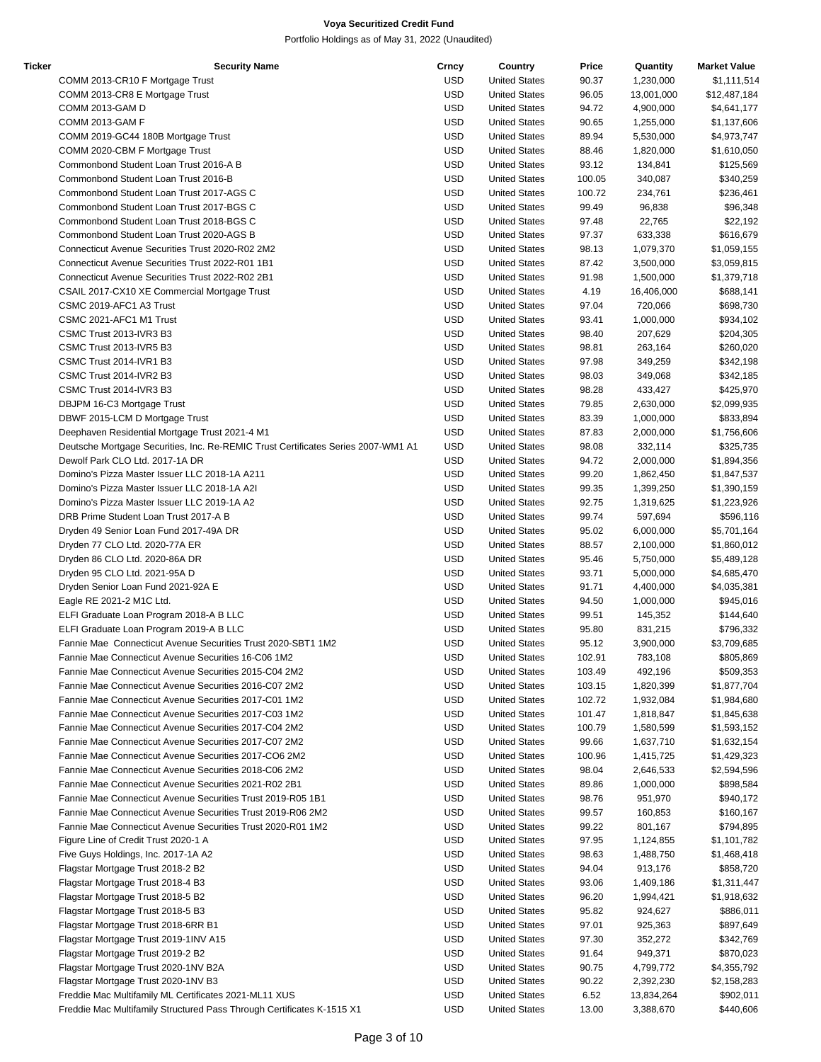| Ticker | <b>Security Name</b>                                                              | Crncy      | Country              | Price  | Quantity   | <b>Market Value</b> |
|--------|-----------------------------------------------------------------------------------|------------|----------------------|--------|------------|---------------------|
|        | COMM 2013-CR10 F Mortgage Trust                                                   | <b>USD</b> | <b>United States</b> | 90.37  | 1,230,000  | \$1,111,514         |
|        | COMM 2013-CR8 E Mortgage Trust                                                    | <b>USD</b> | <b>United States</b> | 96.05  | 13,001,000 | \$12,487,184        |
|        | COMM 2013-GAM D                                                                   | <b>USD</b> | <b>United States</b> | 94.72  | 4,900,000  | \$4,641,177         |
|        | COMM 2013-GAM F                                                                   | <b>USD</b> | <b>United States</b> | 90.65  | 1,255,000  | \$1,137,606         |
|        | COMM 2019-GC44 180B Mortgage Trust                                                | <b>USD</b> | <b>United States</b> | 89.94  | 5,530,000  | \$4,973,747         |
|        |                                                                                   |            |                      |        |            |                     |
|        | COMM 2020-CBM F Mortgage Trust                                                    | <b>USD</b> | <b>United States</b> | 88.46  | 1,820,000  | \$1,610,050         |
|        | Commonbond Student Loan Trust 2016-A B                                            | <b>USD</b> | <b>United States</b> | 93.12  | 134,841    | \$125,569           |
|        | Commonbond Student Loan Trust 2016-B                                              | <b>USD</b> | <b>United States</b> | 100.05 | 340,087    | \$340,259           |
|        | Commonbond Student Loan Trust 2017-AGS C                                          | <b>USD</b> | <b>United States</b> | 100.72 | 234,761    | \$236,461           |
|        | Commonbond Student Loan Trust 2017-BGS C                                          | <b>USD</b> | <b>United States</b> | 99.49  | 96,838     | \$96,348            |
|        | Commonbond Student Loan Trust 2018-BGS C                                          | <b>USD</b> | <b>United States</b> | 97.48  | 22,765     | \$22,192            |
|        | Commonbond Student Loan Trust 2020-AGS B                                          | <b>USD</b> | <b>United States</b> | 97.37  | 633,338    | \$616,679           |
|        | Connecticut Avenue Securities Trust 2020-R02 2M2                                  | <b>USD</b> | <b>United States</b> | 98.13  | 1,079,370  | \$1,059,155         |
|        | Connecticut Avenue Securities Trust 2022-R01 1B1                                  | <b>USD</b> | <b>United States</b> | 87.42  | 3,500,000  | \$3,059,815         |
|        |                                                                                   | <b>USD</b> |                      |        |            |                     |
|        | Connecticut Avenue Securities Trust 2022-R02 2B1                                  |            | <b>United States</b> | 91.98  | 1,500,000  | \$1,379,718         |
|        | CSAIL 2017-CX10 XE Commercial Mortgage Trust                                      | <b>USD</b> | <b>United States</b> | 4.19   | 16,406,000 | \$688,141           |
|        | CSMC 2019-AFC1 A3 Trust                                                           | <b>USD</b> | <b>United States</b> | 97.04  | 720,066    | \$698,730           |
|        | CSMC 2021-AFC1 M1 Trust                                                           | <b>USD</b> | <b>United States</b> | 93.41  | 1,000,000  | \$934,102           |
|        | CSMC Trust 2013-IVR3 B3                                                           | <b>USD</b> | <b>United States</b> | 98.40  | 207,629    | \$204,305           |
|        | CSMC Trust 2013-IVR5 B3                                                           | <b>USD</b> | <b>United States</b> | 98.81  | 263,164    | \$260,020           |
|        | CSMC Trust 2014-IVR1 B3                                                           | <b>USD</b> | <b>United States</b> | 97.98  | 349,259    | \$342,198           |
|        | CSMC Trust 2014-IVR2 B3                                                           | <b>USD</b> | <b>United States</b> | 98.03  | 349,068    | \$342,185           |
|        | CSMC Trust 2014-IVR3 B3                                                           | <b>USD</b> | <b>United States</b> | 98.28  | 433,427    | \$425,970           |
|        |                                                                                   | <b>USD</b> | <b>United States</b> | 79.85  |            |                     |
|        | DBJPM 16-C3 Mortgage Trust                                                        |            |                      |        | 2,630,000  | \$2,099,935         |
|        | DBWF 2015-LCM D Mortgage Trust                                                    | <b>USD</b> | <b>United States</b> | 83.39  | 1,000,000  | \$833,894           |
|        | Deephaven Residential Mortgage Trust 2021-4 M1                                    | USD        | <b>United States</b> | 87.83  | 2,000,000  | \$1,756,606         |
|        | Deutsche Mortgage Securities, Inc. Re-REMIC Trust Certificates Series 2007-WM1 A1 | USD        | <b>United States</b> | 98.08  | 332,114    | \$325,735           |
|        | Dewolf Park CLO Ltd. 2017-1A DR                                                   | <b>USD</b> | <b>United States</b> | 94.72  | 2,000,000  | \$1,894,356         |
|        | Domino's Pizza Master Issuer LLC 2018-1A A211                                     | <b>USD</b> | <b>United States</b> | 99.20  | 1,862,450  | \$1,847,537         |
|        | Domino's Pizza Master Issuer LLC 2018-1A A2I                                      | <b>USD</b> | <b>United States</b> | 99.35  | 1,399,250  | \$1,390,159         |
|        | Domino's Pizza Master Issuer LLC 2019-1A A2                                       | <b>USD</b> | <b>United States</b> | 92.75  | 1,319,625  | \$1,223,926         |
|        | DRB Prime Student Loan Trust 2017-A B                                             | <b>USD</b> | <b>United States</b> | 99.74  | 597,694    | \$596,116           |
|        | Dryden 49 Senior Loan Fund 2017-49A DR                                            | <b>USD</b> | <b>United States</b> | 95.02  |            |                     |
|        |                                                                                   |            |                      |        | 6,000,000  | \$5,701,164         |
|        | Dryden 77 CLO Ltd. 2020-77A ER                                                    | <b>USD</b> | <b>United States</b> | 88.57  | 2,100,000  | \$1,860,012         |
|        | Dryden 86 CLO Ltd. 2020-86A DR                                                    | <b>USD</b> | <b>United States</b> | 95.46  | 5,750,000  | \$5,489,128         |
|        | Dryden 95 CLO Ltd. 2021-95A D                                                     | <b>USD</b> | <b>United States</b> | 93.71  | 5,000,000  | \$4,685,470         |
|        | Dryden Senior Loan Fund 2021-92A E                                                | <b>USD</b> | <b>United States</b> | 91.71  | 4,400,000  | \$4,035,381         |
|        | Eagle RE 2021-2 M1C Ltd.                                                          | <b>USD</b> | <b>United States</b> | 94.50  | 1,000,000  | \$945,016           |
|        | ELFI Graduate Loan Program 2018-A B LLC                                           | <b>USD</b> | <b>United States</b> | 99.51  | 145,352    | \$144,640           |
|        | ELFI Graduate Loan Program 2019-A B LLC                                           | <b>USD</b> | <b>United States</b> | 95.80  | 831,215    | \$796,332           |
|        | Fannie Mae Connecticut Avenue Securities Trust 2020-SBT1 1M2                      | <b>USD</b> | <b>United States</b> | 95.12  | 3,900,000  | \$3,709,685         |
|        | Fannie Mae Connecticut Avenue Securities 16-C06 1M2                               | <b>USD</b> | <b>United States</b> | 102.91 | 783,108    | \$805,869           |
|        | Fannie Mae Connecticut Avenue Securities 2015-C04 2M2                             | USD        | <b>United States</b> | 103.49 | 492,196    |                     |
|        |                                                                                   |            |                      |        |            | \$509,353           |
|        | Fannie Mae Connecticut Avenue Securities 2016-C07 2M2                             | <b>USD</b> | <b>United States</b> | 103.15 | 1,820,399  | \$1,877,704         |
|        | Fannie Mae Connecticut Avenue Securities 2017-C01 1M2                             | <b>USD</b> | <b>United States</b> | 102.72 | 1,932,084  | \$1,984,680         |
|        | Fannie Mae Connecticut Avenue Securities 2017-C03 1M2                             | USD        | <b>United States</b> | 101.47 | 1,818,847  | \$1,845,638         |
|        | Fannie Mae Connecticut Avenue Securities 2017-C04 2M2                             | <b>USD</b> | <b>United States</b> | 100.79 | 1,580,599  | \$1,593,152         |
|        | Fannie Mae Connecticut Avenue Securities 2017-C07 2M2                             | <b>USD</b> | <b>United States</b> | 99.66  | 1,637,710  | \$1,632,154         |
|        | Fannie Mae Connecticut Avenue Securities 2017-CO6 2M2                             | <b>USD</b> | <b>United States</b> | 100.96 | 1,415,725  | \$1,429,323         |
|        | Fannie Mae Connecticut Avenue Securities 2018-C06 2M2                             | USD        | <b>United States</b> | 98.04  | 2,646,533  | \$2,594,596         |
|        | Fannie Mae Connecticut Avenue Securities 2021-R02 2B1                             | <b>USD</b> | <b>United States</b> | 89.86  | 1,000,000  | \$898,584           |
|        | Fannie Mae Connecticut Avenue Securities Trust 2019-R05 1B1                       | <b>USD</b> | <b>United States</b> | 98.76  | 951,970    | \$940,172           |
|        |                                                                                   |            |                      |        |            |                     |
|        | Fannie Mae Connecticut Avenue Securities Trust 2019-R06 2M2                       | <b>USD</b> | <b>United States</b> | 99.57  | 160,853    | \$160,167           |
|        | Fannie Mae Connecticut Avenue Securities Trust 2020-R01 1M2                       | <b>USD</b> | <b>United States</b> | 99.22  | 801,167    | \$794,895           |
|        | Figure Line of Credit Trust 2020-1 A                                              | USD        | <b>United States</b> | 97.95  | 1,124,855  | \$1,101,782         |
|        | Five Guys Holdings, Inc. 2017-1A A2                                               | <b>USD</b> | <b>United States</b> | 98.63  | 1,488,750  | \$1,468,418         |
|        | Flagstar Mortgage Trust 2018-2 B2                                                 | <b>USD</b> | <b>United States</b> | 94.04  | 913,176    | \$858,720           |
|        | Flagstar Mortgage Trust 2018-4 B3                                                 | <b>USD</b> | <b>United States</b> | 93.06  | 1,409,186  | \$1,311,447         |
|        | Flagstar Mortgage Trust 2018-5 B2                                                 | <b>USD</b> | <b>United States</b> | 96.20  | 1,994,421  | \$1,918,632         |
|        | Flagstar Mortgage Trust 2018-5 B3                                                 | <b>USD</b> | <b>United States</b> | 95.82  | 924,627    | \$886,011           |
|        |                                                                                   | <b>USD</b> |                      |        |            |                     |
|        | Flagstar Mortgage Trust 2018-6RR B1                                               |            | <b>United States</b> | 97.01  | 925,363    | \$897,649           |
|        | Flagstar Mortgage Trust 2019-1INV A15                                             | <b>USD</b> | <b>United States</b> | 97.30  | 352,272    | \$342,769           |
|        | Flagstar Mortgage Trust 2019-2 B2                                                 | USD        | <b>United States</b> | 91.64  | 949,371    | \$870,023           |
|        | Flagstar Mortgage Trust 2020-1NV B2A                                              | <b>USD</b> | <b>United States</b> | 90.75  | 4,799,772  | \$4,355,792         |
|        | Flagstar Mortgage Trust 2020-1NV B3                                               | <b>USD</b> | <b>United States</b> | 90.22  | 2,392,230  | \$2,158,283         |
|        | Freddie Mac Multifamily ML Certificates 2021-ML11 XUS                             | USD        | <b>United States</b> | 6.52   | 13,834,264 | \$902,011           |
|        | Freddie Mac Multifamily Structured Pass Through Certificates K-1515 X1            | <b>USD</b> | <b>United States</b> | 13.00  | 3,388,670  | \$440,606           |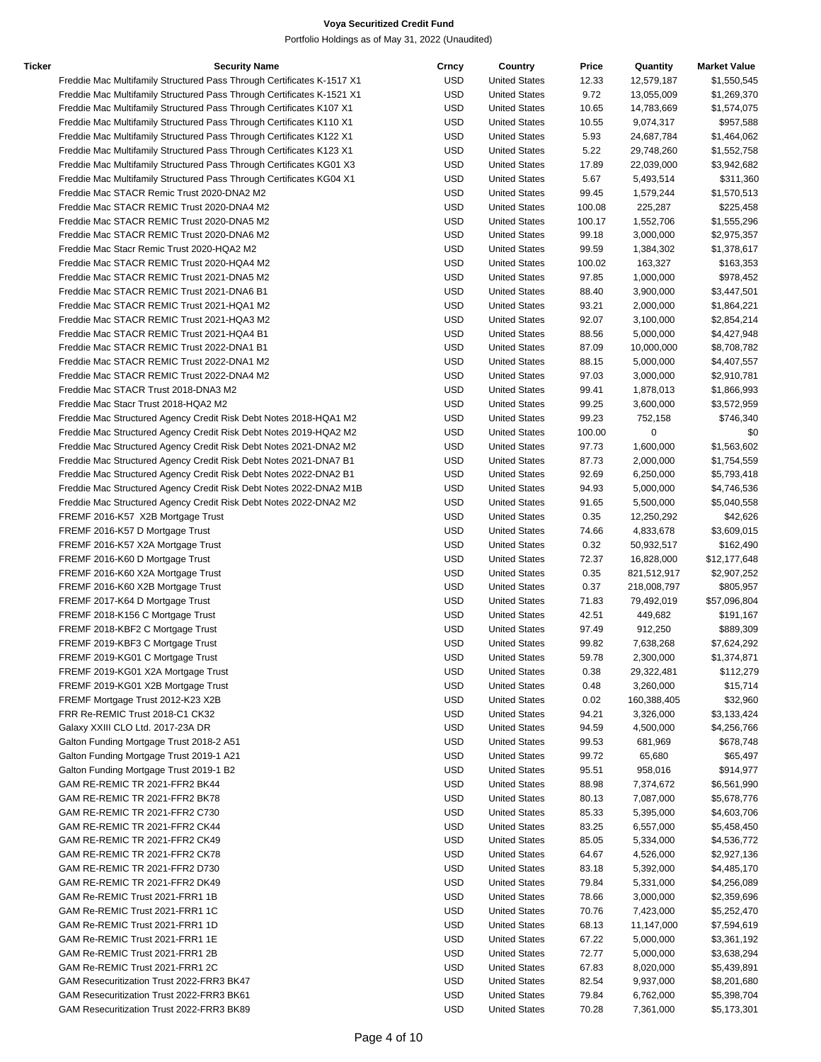| Ticker | <b>Security Name</b>                                                   | Crncy      | Country              | Price  | Quantity    | <b>Market Value</b> |
|--------|------------------------------------------------------------------------|------------|----------------------|--------|-------------|---------------------|
|        | Freddie Mac Multifamily Structured Pass Through Certificates K-1517 X1 | USD        | <b>United States</b> | 12.33  | 12,579,187  | \$1,550,545         |
|        | Freddie Mac Multifamily Structured Pass Through Certificates K-1521 X1 | <b>USD</b> | <b>United States</b> | 9.72   | 13,055,009  | \$1,269,370         |
|        | Freddie Mac Multifamily Structured Pass Through Certificates K107 X1   | <b>USD</b> | <b>United States</b> | 10.65  | 14,783,669  | \$1,574,075         |
|        | Freddie Mac Multifamily Structured Pass Through Certificates K110 X1   | USD        | <b>United States</b> | 10.55  | 9,074,317   | \$957,588           |
|        | Freddie Mac Multifamily Structured Pass Through Certificates K122 X1   | USD        | <b>United States</b> | 5.93   | 24,687,784  | \$1,464,062         |
|        | Freddie Mac Multifamily Structured Pass Through Certificates K123 X1   | USD        | <b>United States</b> | 5.22   | 29,748,260  | \$1,552,758         |
|        | Freddie Mac Multifamily Structured Pass Through Certificates KG01 X3   | USD        | <b>United States</b> | 17.89  | 22,039,000  | \$3,942,682         |
|        | Freddie Mac Multifamily Structured Pass Through Certificates KG04 X1   | <b>USD</b> | <b>United States</b> | 5.67   | 5,493,514   | \$311,360           |
|        | Freddie Mac STACR Remic Trust 2020-DNA2 M2                             | <b>USD</b> | <b>United States</b> | 99.45  | 1,579,244   | \$1,570,513         |
|        | Freddie Mac STACR REMIC Trust 2020-DNA4 M2                             | USD        | <b>United States</b> | 100.08 | 225,287     | \$225,458           |
|        | Freddie Mac STACR REMIC Trust 2020-DNA5 M2                             | USD        | <b>United States</b> | 100.17 | 1,552,706   | \$1,555,296         |
|        |                                                                        | <b>USD</b> |                      |        |             |                     |
|        | Freddie Mac STACR REMIC Trust 2020-DNA6 M2                             |            | <b>United States</b> | 99.18  | 3,000,000   | \$2,975,357         |
|        | Freddie Mac Stacr Remic Trust 2020-HQA2 M2                             | USD        | <b>United States</b> | 99.59  | 1,384,302   | \$1,378,617         |
|        | Freddie Mac STACR REMIC Trust 2020-HQA4 M2                             | <b>USD</b> | <b>United States</b> | 100.02 | 163,327     | \$163,353           |
|        | Freddie Mac STACR REMIC Trust 2021-DNA5 M2                             | <b>USD</b> | <b>United States</b> | 97.85  | 1,000,000   | \$978,452           |
|        | Freddie Mac STACR REMIC Trust 2021-DNA6 B1                             | <b>USD</b> | <b>United States</b> | 88.40  | 3,900,000   | \$3,447,501         |
|        | Freddie Mac STACR REMIC Trust 2021-HQA1 M2                             | USD        | <b>United States</b> | 93.21  | 2,000,000   | \$1,864,221         |
|        | Freddie Mac STACR REMIC Trust 2021-HQA3 M2                             | USD        | <b>United States</b> | 92.07  | 3,100,000   | \$2,854,214         |
|        | Freddie Mac STACR REMIC Trust 2021-HQA4 B1                             | USD        | <b>United States</b> | 88.56  | 5,000,000   | \$4,427,948         |
|        | Freddie Mac STACR REMIC Trust 2022-DNA1 B1                             | <b>USD</b> | <b>United States</b> | 87.09  | 10,000,000  | \$8,708,782         |
|        | Freddie Mac STACR REMIC Trust 2022-DNA1 M2                             | USD        | <b>United States</b> | 88.15  | 5,000,000   | \$4,407,557         |
|        | Freddie Mac STACR REMIC Trust 2022-DNA4 M2                             | <b>USD</b> | <b>United States</b> | 97.03  | 3,000,000   | \$2,910,781         |
|        | Freddie Mac STACR Trust 2018-DNA3 M2                                   | <b>USD</b> | <b>United States</b> | 99.41  | 1,878,013   | \$1,866,993         |
|        | Freddie Mac Stacr Trust 2018-HQA2 M2                                   | <b>USD</b> | <b>United States</b> | 99.25  | 3,600,000   | \$3,572,959         |
|        | Freddie Mac Structured Agency Credit Risk Debt Notes 2018-HQA1 M2      | <b>USD</b> | <b>United States</b> | 99.23  | 752,158     | \$746,340           |
|        | Freddie Mac Structured Agency Credit Risk Debt Notes 2019-HQA2 M2      | USD        | <b>United States</b> | 100.00 | $\mathbf 0$ | \$0                 |
|        | Freddie Mac Structured Agency Credit Risk Debt Notes 2021-DNA2 M2      | USD        | <b>United States</b> | 97.73  | 1,600,000   | \$1,563,602         |
|        | Freddie Mac Structured Agency Credit Risk Debt Notes 2021-DNA7 B1      | USD        | <b>United States</b> | 87.73  | 2,000,000   | \$1,754,559         |
|        | Freddie Mac Structured Agency Credit Risk Debt Notes 2022-DNA2 B1      | USD        | <b>United States</b> | 92.69  | 6,250,000   | \$5,793,418         |
|        | Freddie Mac Structured Agency Credit Risk Debt Notes 2022-DNA2 M1B     | USD        | <b>United States</b> | 94.93  | 5,000,000   | \$4,746,536         |
|        | Freddie Mac Structured Agency Credit Risk Debt Notes 2022-DNA2 M2      | USD        | <b>United States</b> | 91.65  | 5,500,000   | \$5,040,558         |
|        | FREMF 2016-K57 X2B Mortgage Trust                                      | <b>USD</b> | <b>United States</b> | 0.35   | 12,250,292  | \$42,626            |
|        | FREMF 2016-K57 D Mortgage Trust                                        | <b>USD</b> | <b>United States</b> | 74.66  | 4,833,678   | \$3,609,015         |
|        | FREMF 2016-K57 X2A Mortgage Trust                                      | USD        | <b>United States</b> | 0.32   |             | \$162,490           |
|        |                                                                        |            |                      |        | 50,932,517  |                     |
|        | FREMF 2016-K60 D Mortgage Trust                                        | USD        | <b>United States</b> | 72.37  | 16,828,000  | \$12,177,648        |
|        | FREMF 2016-K60 X2A Mortgage Trust                                      | <b>USD</b> | <b>United States</b> | 0.35   | 821,512,917 | \$2,907,252         |
|        | FREMF 2016-K60 X2B Mortgage Trust                                      | USD        | <b>United States</b> | 0.37   | 218,008,797 | \$805,957           |
|        | FREMF 2017-K64 D Mortgage Trust                                        | USD        | <b>United States</b> | 71.83  | 79,492,019  | \$57,096,804        |
|        | FREMF 2018-K156 C Mortgage Trust                                       | USD        | <b>United States</b> | 42.51  | 449,682     | \$191,167           |
|        | FREMF 2018-KBF2 C Mortgage Trust                                       | <b>USD</b> | <b>United States</b> | 97.49  | 912,250     | \$889,309           |
|        | FREMF 2019-KBF3 C Mortgage Trust                                       | USD        | <b>United States</b> | 99.82  | 7,638,268   | \$7,624,292         |
|        | FREMF 2019-KG01 C Mortgage Trust                                       | <b>USD</b> | <b>United States</b> | 59.78  | 2,300,000   | \$1,374,871         |
|        | FREMF 2019-KG01 X2A Mortgage Trust                                     | <b>USD</b> | <b>United States</b> | 0.38   | 29,322,481  | \$112,279           |
|        | FREMF 2019-KG01 X2B Mortgage Trust                                     | <b>USD</b> | <b>United States</b> | 0.48   | 3,260,000   | \$15,714            |
|        | FREMF Mortgage Trust 2012-K23 X2B                                      | <b>USD</b> | <b>United States</b> | 0.02   | 160,388,405 | \$32,960            |
|        | FRR Re-REMIC Trust 2018-C1 CK32                                        | <b>USD</b> | <b>United States</b> | 94.21  | 3,326,000   | \$3,133,424         |
|        | Galaxy XXIII CLO Ltd. 2017-23A DR                                      | USD        | <b>United States</b> | 94.59  | 4,500,000   | \$4,256,766         |
|        | Galton Funding Mortgage Trust 2018-2 A51                               | <b>USD</b> | <b>United States</b> | 99.53  | 681,969     | \$678,748           |
|        | Galton Funding Mortgage Trust 2019-1 A21                               | <b>USD</b> | <b>United States</b> | 99.72  | 65,680      | \$65,497            |
|        | Galton Funding Mortgage Trust 2019-1 B2                                | <b>USD</b> | <b>United States</b> | 95.51  | 958,016     | \$914,977           |
|        | GAM RE-REMIC TR 2021-FFR2 BK44                                         | <b>USD</b> | <b>United States</b> | 88.98  | 7,374,672   | \$6,561,990         |
|        | GAM RE-REMIC TR 2021-FFR2 BK78                                         | <b>USD</b> | <b>United States</b> | 80.13  | 7,087,000   | \$5,678,776         |
|        | GAM RE-REMIC TR 2021-FFR2 C730                                         | <b>USD</b> | <b>United States</b> | 85.33  | 5,395,000   | \$4,603,706         |
|        | GAM RE-REMIC TR 2021-FFR2 CK44                                         | <b>USD</b> | <b>United States</b> | 83.25  | 6,557,000   | \$5,458,450         |
|        | GAM RE-REMIC TR 2021-FFR2 CK49                                         | USD        | <b>United States</b> | 85.05  | 5,334,000   | \$4,536,772         |
|        | GAM RE-REMIC TR 2021-FFR2 CK78                                         | <b>USD</b> | <b>United States</b> | 64.67  | 4,526,000   | \$2,927,136         |
|        | GAM RE-REMIC TR 2021-FFR2 D730                                         | <b>USD</b> | <b>United States</b> | 83.18  | 5,392,000   | \$4,485,170         |
|        |                                                                        |            |                      |        |             |                     |
|        | GAM RE-REMIC TR 2021-FFR2 DK49                                         | <b>USD</b> | <b>United States</b> | 79.84  | 5,331,000   | \$4,256,089         |
|        | GAM Re-REMIC Trust 2021-FRR1 1B                                        | <b>USD</b> | <b>United States</b> | 78.66  | 3,000,000   | \$2,359,696         |
|        | GAM Re-REMIC Trust 2021-FRR1 1C                                        | <b>USD</b> | <b>United States</b> | 70.76  | 7,423,000   | \$5,252,470         |
|        | GAM Re-REMIC Trust 2021-FRR1 1D                                        | <b>USD</b> | <b>United States</b> | 68.13  | 11,147,000  | \$7,594,619         |
|        | GAM Re-REMIC Trust 2021-FRR1 1E                                        | <b>USD</b> | <b>United States</b> | 67.22  | 5,000,000   | \$3,361,192         |
|        | GAM Re-REMIC Trust 2021-FRR1 2B                                        | USD        | <b>United States</b> | 72.77  | 5,000,000   | \$3,638,294         |
|        | GAM Re-REMIC Trust 2021-FRR1 2C                                        | <b>USD</b> | <b>United States</b> | 67.83  | 8,020,000   | \$5,439,891         |
|        | GAM Resecuritization Trust 2022-FRR3 BK47                              | <b>USD</b> | <b>United States</b> | 82.54  | 9,937,000   | \$8,201,680         |
|        | GAM Resecuritization Trust 2022-FRR3 BK61                              | <b>USD</b> | <b>United States</b> | 79.84  | 6,762,000   | \$5,398,704         |
|        | GAM Resecuritization Trust 2022-FRR3 BK89                              | <b>USD</b> | <b>United States</b> | 70.28  | 7,361,000   | \$5,173,301         |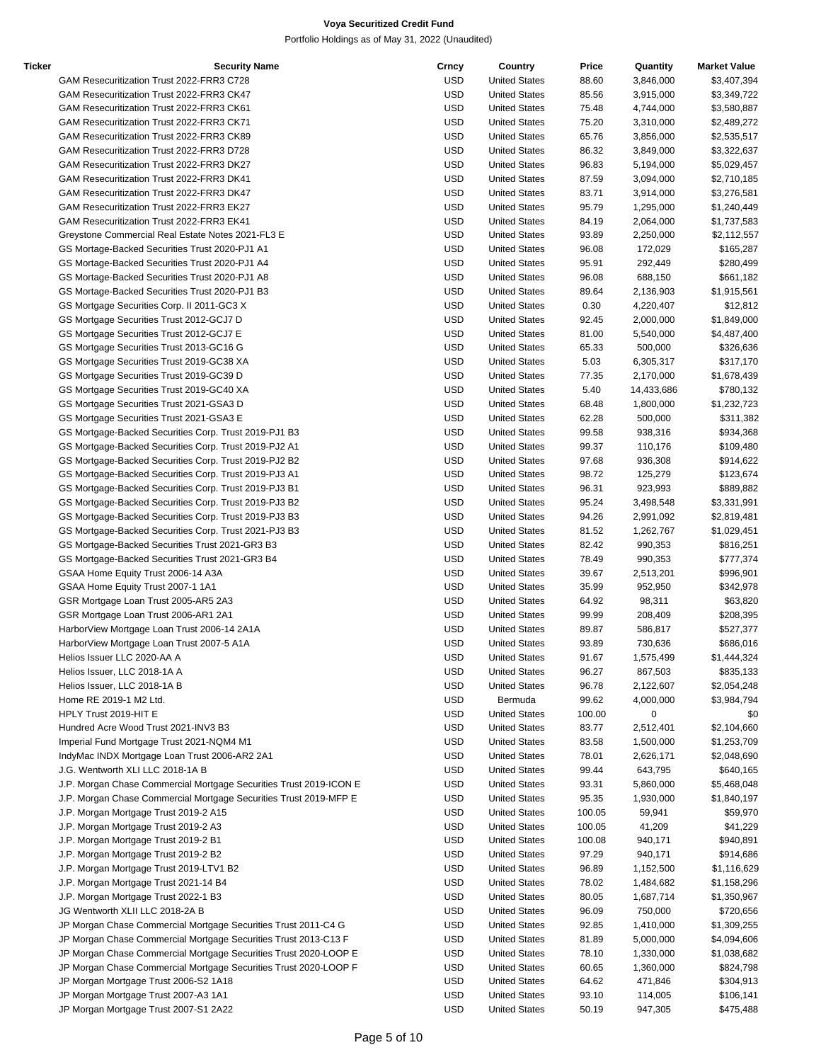| Ticker | <b>Security Name</b>                                               | Crncy      | Country              | Price  | Quantity   | <b>Market Value</b> |
|--------|--------------------------------------------------------------------|------------|----------------------|--------|------------|---------------------|
|        | GAM Resecuritization Trust 2022-FRR3 C728                          | <b>USD</b> | <b>United States</b> | 88.60  | 3,846,000  | \$3,407,394         |
|        | GAM Resecuritization Trust 2022-FRR3 CK47                          | <b>USD</b> | <b>United States</b> | 85.56  | 3,915,000  | \$3,349,722         |
|        | GAM Resecuritization Trust 2022-FRR3 CK61                          | USD        | <b>United States</b> | 75.48  | 4,744,000  | \$3,580,887         |
|        | GAM Resecuritization Trust 2022-FRR3 CK71                          | USD        | <b>United States</b> | 75.20  | 3,310,000  | \$2,489,272         |
|        | GAM Resecuritization Trust 2022-FRR3 CK89                          | <b>USD</b> | <b>United States</b> | 65.76  | 3,856,000  | \$2,535,517         |
|        | GAM Resecuritization Trust 2022-FRR3 D728                          | USD        | <b>United States</b> | 86.32  | 3,849,000  | \$3,322,637         |
|        | GAM Resecuritization Trust 2022-FRR3 DK27                          | <b>USD</b> | <b>United States</b> | 96.83  | 5,194,000  | \$5,029,457         |
|        | GAM Resecuritization Trust 2022-FRR3 DK41                          | <b>USD</b> | <b>United States</b> | 87.59  | 3,094,000  | \$2,710,185         |
|        | GAM Resecuritization Trust 2022-FRR3 DK47                          | <b>USD</b> | <b>United States</b> | 83.71  | 3,914,000  | \$3,276,581         |
|        | GAM Resecuritization Trust 2022-FRR3 EK27                          | USD        | <b>United States</b> | 95.79  |            |                     |
|        | GAM Resecuritization Trust 2022-FRR3 EK41                          |            |                      |        | 1,295,000  | \$1,240,449         |
|        |                                                                    | USD        | <b>United States</b> | 84.19  | 2,064,000  | \$1,737,583         |
|        | Greystone Commercial Real Estate Notes 2021-FL3 E                  | USD        | <b>United States</b> | 93.89  | 2,250,000  | \$2,112,557         |
|        | GS Mortage-Backed Securities Trust 2020-PJ1 A1                     | <b>USD</b> | <b>United States</b> | 96.08  | 172,029    | \$165,287           |
|        | GS Mortage-Backed Securities Trust 2020-PJ1 A4                     | USD        | <b>United States</b> | 95.91  | 292,449    | \$280,499           |
|        | GS Mortage-Backed Securities Trust 2020-PJ1 A8                     | USD        | <b>United States</b> | 96.08  | 688,150    | \$661,182           |
|        | GS Mortage-Backed Securities Trust 2020-PJ1 B3                     | <b>USD</b> | <b>United States</b> | 89.64  | 2,136,903  | \$1,915,561         |
|        | GS Mortgage Securities Corp. II 2011-GC3 X                         | <b>USD</b> | <b>United States</b> | 0.30   | 4,220,407  | \$12,812            |
|        | GS Mortgage Securities Trust 2012-GCJ7 D                           | USD        | <b>United States</b> | 92.45  | 2,000,000  | \$1,849,000         |
|        | GS Mortgage Securities Trust 2012-GCJ7 E                           | USD        | <b>United States</b> | 81.00  | 5,540,000  | \$4,487,400         |
|        | GS Mortgage Securities Trust 2013-GC16 G                           | USD        | <b>United States</b> | 65.33  | 500,000    | \$326,636           |
|        | GS Mortgage Securities Trust 2019-GC38 XA                          | <b>USD</b> | <b>United States</b> | 5.03   | 6,305,317  | \$317,170           |
|        | GS Mortgage Securities Trust 2019-GC39 D                           | USD        | <b>United States</b> | 77.35  | 2,170,000  | \$1,678,439         |
|        | GS Mortgage Securities Trust 2019-GC40 XA                          | USD        | <b>United States</b> | 5.40   | 14,433,686 | \$780,132           |
|        | GS Mortgage Securities Trust 2021-GSA3 D                           | USD        | <b>United States</b> | 68.48  | 1,800,000  | \$1,232,723         |
|        | GS Mortgage Securities Trust 2021-GSA3 E                           | <b>USD</b> | <b>United States</b> | 62.28  | 500,000    | \$311,382           |
|        | GS Mortgage-Backed Securities Corp. Trust 2019-PJ1 B3              | USD        | <b>United States</b> | 99.58  | 938,316    | \$934,368           |
|        | GS Mortgage-Backed Securities Corp. Trust 2019-PJ2 A1              | USD        | <b>United States</b> | 99.37  | 110,176    | \$109,480           |
|        | GS Mortgage-Backed Securities Corp. Trust 2019-PJ2 B2              | USD        | <b>United States</b> | 97.68  | 936,308    | \$914,622           |
|        | GS Mortgage-Backed Securities Corp. Trust 2019-PJ3 A1              | <b>USD</b> | <b>United States</b> | 98.72  | 125,279    | \$123,674           |
|        | GS Mortgage-Backed Securities Corp. Trust 2019-PJ3 B1              | USD        | <b>United States</b> | 96.31  | 923,993    | \$889,882           |
|        | GS Mortgage-Backed Securities Corp. Trust 2019-PJ3 B2              | USD        | <b>United States</b> | 95.24  | 3,498,548  | \$3,331,991         |
|        | GS Mortgage-Backed Securities Corp. Trust 2019-PJ3 B3              | USD        | <b>United States</b> | 94.26  | 2,991,092  | \$2,819,481         |
|        |                                                                    | <b>USD</b> | <b>United States</b> | 81.52  |            |                     |
|        | GS Mortgage-Backed Securities Corp. Trust 2021-PJ3 B3              |            |                      |        | 1,262,767  | \$1,029,451         |
|        | GS Mortgage-Backed Securities Trust 2021-GR3 B3                    | USD        | <b>United States</b> | 82.42  | 990,353    | \$816,251           |
|        | GS Mortgage-Backed Securities Trust 2021-GR3 B4                    | USD        | <b>United States</b> | 78.49  | 990,353    | \$777,374           |
|        | GSAA Home Equity Trust 2006-14 A3A                                 | USD        | <b>United States</b> | 39.67  | 2,513,201  | \$996,901           |
|        | GSAA Home Equity Trust 2007-1 1A1                                  | <b>USD</b> | <b>United States</b> | 35.99  | 952,950    | \$342,978           |
|        | GSR Mortgage Loan Trust 2005-AR5 2A3                               | USD        | <b>United States</b> | 64.92  | 98,311     | \$63,820            |
|        | GSR Mortgage Loan Trust 2006-AR1 2A1                               | USD        | <b>United States</b> | 99.99  | 208,409    | \$208,395           |
|        | HarborView Mortgage Loan Trust 2006-14 2A1A                        | USD        | <b>United States</b> | 89.87  | 586,817    | \$527,377           |
|        | HarborView Mortgage Loan Trust 2007-5 A1A                          | <b>USD</b> | <b>United States</b> | 93.89  | 730,636    | \$686,016           |
|        | Helios Issuer LLC 2020-AA A                                        | <b>USD</b> | <b>United States</b> | 91.67  | 1,575,499  | \$1,444,324         |
|        | Helios Issuer, LLC 2018-1A A                                       | USD        | <b>United States</b> | 96.27  | 867,503    | \$835,133           |
|        | Helios Issuer, LLC 2018-1A B                                       | <b>USD</b> | <b>United States</b> | 96.78  | 2,122,607  | \$2,054,248         |
|        | Home RE 2019-1 M2 Ltd.                                             | <b>USD</b> | Bermuda              | 99.62  | 4,000,000  | \$3,984,794         |
|        | HPLY Trust 2019-HIT E                                              | <b>USD</b> | <b>United States</b> | 100.00 | 0          | \$0                 |
|        | Hundred Acre Wood Trust 2021-INV3 B3                               | USD        | <b>United States</b> | 83.77  | 2,512,401  | \$2,104,660         |
|        | Imperial Fund Mortgage Trust 2021-NQM4 M1                          | USD        | <b>United States</b> | 83.58  | 1,500,000  | \$1,253,709         |
|        | IndyMac INDX Mortgage Loan Trust 2006-AR2 2A1                      | <b>USD</b> | <b>United States</b> | 78.01  | 2,626,171  | \$2,048,690         |
|        | J.G. Wentworth XLI LLC 2018-1A B                                   | USD        | <b>United States</b> | 99.44  | 643,795    | \$640,165           |
|        | J.P. Morgan Chase Commercial Mortgage Securities Trust 2019-ICON E | USD        | <b>United States</b> | 93.31  | 5,860,000  | \$5,468,048         |
|        | J.P. Morgan Chase Commercial Mortgage Securities Trust 2019-MFP E  | USD        | <b>United States</b> | 95.35  | 1,930,000  | \$1,840,197         |
|        | J.P. Morgan Mortgage Trust 2019-2 A15                              | <b>USD</b> | <b>United States</b> | 100.05 | 59,941     | \$59,970            |
|        | J.P. Morgan Mortgage Trust 2019-2 A3                               | <b>USD</b> | <b>United States</b> | 100.05 | 41,209     | \$41,229            |
|        | J.P. Morgan Mortgage Trust 2019-2 B1                               | USD        | <b>United States</b> | 100.08 | 940,171    | \$940,891           |
|        | J.P. Morgan Mortgage Trust 2019-2 B2                               | USD        | <b>United States</b> | 97.29  | 940,171    | \$914,686           |
|        |                                                                    |            |                      |        |            |                     |
|        | J.P. Morgan Mortgage Trust 2019-LTV1 B2                            | USD        | <b>United States</b> | 96.89  | 1,152,500  | \$1,116,629         |
|        | J.P. Morgan Mortgage Trust 2021-14 B4                              | USD        | <b>United States</b> | 78.02  | 1,484,682  | \$1,158,296         |
|        | J.P. Morgan Mortgage Trust 2022-1 B3                               | USD        | <b>United States</b> | 80.05  | 1,687,714  | \$1,350,967         |
|        | JG Wentworth XLII LLC 2018-2A B                                    | USD        | <b>United States</b> | 96.09  | 750,000    | \$720,656           |
|        | JP Morgan Chase Commercial Mortgage Securities Trust 2011-C4 G     | <b>USD</b> | <b>United States</b> | 92.85  | 1,410,000  | \$1,309,255         |
|        | JP Morgan Chase Commercial Mortgage Securities Trust 2013-C13 F    | <b>USD</b> | <b>United States</b> | 81.89  | 5,000,000  | \$4,094,606         |
|        | JP Morgan Chase Commercial Mortgage Securities Trust 2020-LOOP E   | USD        | <b>United States</b> | 78.10  | 1,330,000  | \$1,038,682         |
|        | JP Morgan Chase Commercial Mortgage Securities Trust 2020-LOOP F   | USD        | <b>United States</b> | 60.65  | 1,360,000  | \$824,798           |
|        | JP Morgan Mortgage Trust 2006-S2 1A18                              | USD        | <b>United States</b> | 64.62  | 471,846    | \$304,913           |
|        | JP Morgan Mortgage Trust 2007-A3 1A1                               | USD        | <b>United States</b> | 93.10  | 114,005    | \$106,141           |
|        | JP Morgan Mortgage Trust 2007-S1 2A22                              | <b>USD</b> | <b>United States</b> | 50.19  | 947,305    | \$475,488           |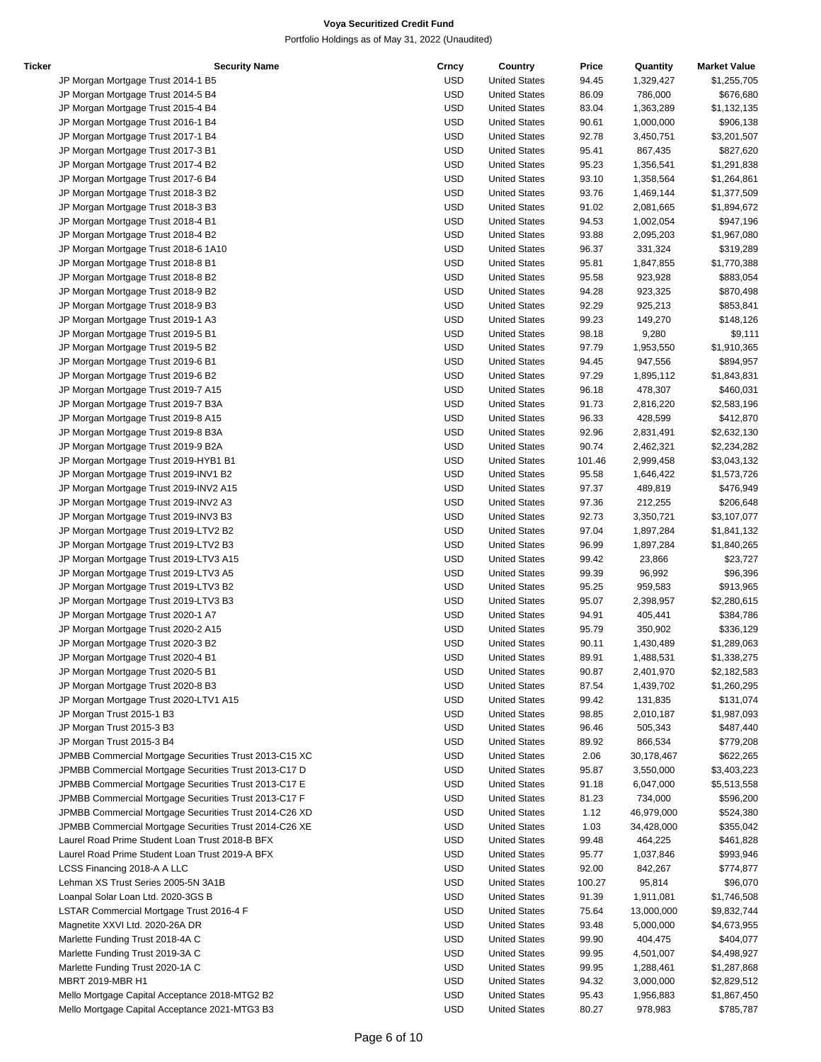| Ticker | <b>Security Name</b>                                   | Crncy      | Country              | Price  | Quantity   | <b>Market Value</b> |
|--------|--------------------------------------------------------|------------|----------------------|--------|------------|---------------------|
|        | JP Morgan Mortgage Trust 2014-1 B5                     | <b>USD</b> | <b>United States</b> | 94.45  | 1,329,427  | \$1,255,705         |
|        | JP Morgan Mortgage Trust 2014-5 B4                     | <b>USD</b> | <b>United States</b> | 86.09  | 786,000    | \$676,680           |
|        | JP Morgan Mortgage Trust 2015-4 B4                     | <b>USD</b> | <b>United States</b> | 83.04  | 1,363,289  | \$1,132,135         |
|        | JP Morgan Mortgage Trust 2016-1 B4                     | <b>USD</b> | <b>United States</b> | 90.61  | 1,000,000  | \$906,138           |
|        | JP Morgan Mortgage Trust 2017-1 B4                     | <b>USD</b> | <b>United States</b> | 92.78  | 3,450,751  | \$3,201,507         |
|        | JP Morgan Mortgage Trust 2017-3 B1                     | <b>USD</b> | <b>United States</b> | 95.41  | 867,435    | \$827,620           |
|        | JP Morgan Mortgage Trust 2017-4 B2                     | <b>USD</b> | <b>United States</b> | 95.23  | 1,356,541  | \$1,291,838         |
|        | JP Morgan Mortgage Trust 2017-6 B4                     | <b>USD</b> | <b>United States</b> | 93.10  | 1,358,564  | \$1,264,861         |
|        |                                                        | <b>USD</b> |                      |        |            |                     |
|        | JP Morgan Mortgage Trust 2018-3 B2                     |            | <b>United States</b> | 93.76  | 1,469,144  | \$1,377,509         |
|        | JP Morgan Mortgage Trust 2018-3 B3                     | <b>USD</b> | <b>United States</b> | 91.02  | 2,081,665  | \$1,894,672         |
|        | JP Morgan Mortgage Trust 2018-4 B1                     | <b>USD</b> | <b>United States</b> | 94.53  | 1,002,054  | \$947,196           |
|        | JP Morgan Mortgage Trust 2018-4 B2                     | <b>USD</b> | <b>United States</b> | 93.88  | 2,095,203  | \$1,967,080         |
|        | JP Morgan Mortgage Trust 2018-6 1A10                   | <b>USD</b> | <b>United States</b> | 96.37  | 331,324    | \$319,289           |
|        | JP Morgan Mortgage Trust 2018-8 B1                     | <b>USD</b> | <b>United States</b> | 95.81  | 1,847,855  | \$1,770,388         |
|        | JP Morgan Mortgage Trust 2018-8 B2                     | <b>USD</b> | <b>United States</b> | 95.58  | 923,928    | \$883,054           |
|        | JP Morgan Mortgage Trust 2018-9 B2                     | <b>USD</b> | <b>United States</b> | 94.28  | 923,325    | \$870,498           |
|        | JP Morgan Mortgage Trust 2018-9 B3                     | <b>USD</b> | <b>United States</b> | 92.29  | 925,213    | \$853,841           |
|        | JP Morgan Mortgage Trust 2019-1 A3                     | <b>USD</b> | <b>United States</b> | 99.23  | 149,270    | \$148,126           |
|        | JP Morgan Mortgage Trust 2019-5 B1                     | <b>USD</b> | <b>United States</b> | 98.18  | 9,280      | \$9,111             |
|        | JP Morgan Mortgage Trust 2019-5 B2                     | <b>USD</b> | <b>United States</b> | 97.79  | 1,953,550  | \$1,910,365         |
|        | JP Morgan Mortgage Trust 2019-6 B1                     | <b>USD</b> | <b>United States</b> | 94.45  | 947,556    | \$894,957           |
|        |                                                        | <b>USD</b> | <b>United States</b> | 97.29  |            | \$1,843,831         |
|        | JP Morgan Mortgage Trust 2019-6 B2                     |            |                      |        | 1,895,112  |                     |
|        | JP Morgan Mortgage Trust 2019-7 A15                    | <b>USD</b> | <b>United States</b> | 96.18  | 478,307    | \$460,031           |
|        | JP Morgan Mortgage Trust 2019-7 B3A                    | <b>USD</b> | <b>United States</b> | 91.73  | 2,816,220  | \$2,583,196         |
|        | JP Morgan Mortgage Trust 2019-8 A15                    | <b>USD</b> | <b>United States</b> | 96.33  | 428,599    | \$412,870           |
|        | JP Morgan Mortgage Trust 2019-8 B3A                    | <b>USD</b> | <b>United States</b> | 92.96  | 2,831,491  | \$2,632,130         |
|        | JP Morgan Mortgage Trust 2019-9 B2A                    | <b>USD</b> | <b>United States</b> | 90.74  | 2,462,321  | \$2,234,282         |
|        | JP Morgan Mortgage Trust 2019-HYB1 B1                  | <b>USD</b> | <b>United States</b> | 101.46 | 2,999,458  | \$3,043,132         |
|        | JP Morgan Mortgage Trust 2019-INV1 B2                  | <b>USD</b> | <b>United States</b> | 95.58  | 1,646,422  | \$1,573,726         |
|        | JP Morgan Mortgage Trust 2019-INV2 A15                 | <b>USD</b> | <b>United States</b> | 97.37  | 489,819    | \$476,949           |
|        | JP Morgan Mortgage Trust 2019-INV2 A3                  | <b>USD</b> | <b>United States</b> | 97.36  | 212,255    | \$206,648           |
|        | JP Morgan Mortgage Trust 2019-INV3 B3                  | <b>USD</b> | <b>United States</b> | 92.73  | 3,350,721  | \$3,107,077         |
|        | JP Morgan Mortgage Trust 2019-LTV2 B2                  | <b>USD</b> | <b>United States</b> | 97.04  | 1,897,284  | \$1,841,132         |
|        | JP Morgan Mortgage Trust 2019-LTV2 B3                  | <b>USD</b> | <b>United States</b> | 96.99  | 1,897,284  | \$1,840,265         |
|        |                                                        | <b>USD</b> |                      | 99.42  | 23,866     | \$23,727            |
|        | JP Morgan Mortgage Trust 2019-LTV3 A15                 |            | <b>United States</b> |        |            |                     |
|        | JP Morgan Mortgage Trust 2019-LTV3 A5                  | <b>USD</b> | <b>United States</b> | 99.39  | 96,992     | \$96,396            |
|        | JP Morgan Mortgage Trust 2019-LTV3 B2                  | <b>USD</b> | <b>United States</b> | 95.25  | 959,583    | \$913,965           |
|        | JP Morgan Mortgage Trust 2019-LTV3 B3                  | <b>USD</b> | <b>United States</b> | 95.07  | 2,398,957  | \$2,280,615         |
|        | JP Morgan Mortgage Trust 2020-1 A7                     | <b>USD</b> | <b>United States</b> | 94.91  | 405,441    | \$384,786           |
|        | JP Morgan Mortgage Trust 2020-2 A15                    | <b>USD</b> | <b>United States</b> | 95.79  | 350,902    | \$336,129           |
|        | JP Morgan Mortgage Trust 2020-3 B2                     | <b>USD</b> | <b>United States</b> | 90.11  | 1,430,489  | \$1,289,063         |
|        | JP Morgan Mortgage Trust 2020-4 B1                     | <b>USD</b> | <b>United States</b> | 89.91  | 1,488,531  | \$1,338,275         |
|        | JP Morgan Mortgage Trust 2020-5 B1                     | <b>USD</b> | <b>United States</b> | 90.87  | 2,401,970  | \$2,182,583         |
|        | JP Morgan Mortgage Trust 2020-8 B3                     | <b>USD</b> | <b>United States</b> | 87.54  | 1,439,702  | \$1,260,295         |
|        | JP Morgan Mortgage Trust 2020-LTV1 A15                 | <b>USD</b> | <b>United States</b> | 99.42  | 131,835    | \$131,074           |
|        | JP Morgan Trust 2015-1 B3                              | <b>USD</b> | <b>United States</b> | 98.85  | 2,010,187  | \$1,987,093         |
|        | JP Morgan Trust 2015-3 B3                              | <b>USD</b> | <b>United States</b> | 96.46  | 505,343    | \$487,440           |
|        | JP Morgan Trust 2015-3 B4                              | <b>USD</b> | <b>United States</b> | 89.92  | 866,534    | \$779,208           |
|        |                                                        |            |                      |        |            |                     |
|        | JPMBB Commercial Mortgage Securities Trust 2013-C15 XC | <b>USD</b> | <b>United States</b> | 2.06   | 30,178,467 | \$622,265           |
|        | JPMBB Commercial Mortgage Securities Trust 2013-C17 D  | <b>USD</b> | <b>United States</b> | 95.87  | 3,550,000  | \$3,403,223         |
|        | JPMBB Commercial Mortgage Securities Trust 2013-C17 E  | <b>USD</b> | <b>United States</b> | 91.18  | 6,047,000  | \$5,513,558         |
|        | JPMBB Commercial Mortgage Securities Trust 2013-C17 F  | <b>USD</b> | <b>United States</b> | 81.23  | 734,000    | \$596,200           |
|        | JPMBB Commercial Mortgage Securities Trust 2014-C26 XD | <b>USD</b> | <b>United States</b> | 1.12   | 46,979,000 | \$524,380           |
|        | JPMBB Commercial Mortgage Securities Trust 2014-C26 XE | <b>USD</b> | <b>United States</b> | 1.03   | 34,428,000 | \$355,042           |
|        | Laurel Road Prime Student Loan Trust 2018-B BFX        | <b>USD</b> | <b>United States</b> | 99.48  | 464,225    | \$461,828           |
|        | Laurel Road Prime Student Loan Trust 2019-A BFX        | <b>USD</b> | <b>United States</b> | 95.77  | 1,037,846  | \$993,946           |
|        | LCSS Financing 2018-A A LLC                            | <b>USD</b> | <b>United States</b> | 92.00  | 842,267    | \$774,877           |
|        | Lehman XS Trust Series 2005-5N 3A1B                    | <b>USD</b> | <b>United States</b> | 100.27 | 95,814     | \$96,070            |
|        | Loanpal Solar Loan Ltd. 2020-3GS B                     | <b>USD</b> | <b>United States</b> | 91.39  | 1,911,081  | \$1,746,508         |
|        |                                                        | <b>USD</b> |                      |        |            |                     |
|        | LSTAR Commercial Mortgage Trust 2016-4 F               |            | <b>United States</b> | 75.64  | 13,000,000 | \$9,832,744         |
|        | Magnetite XXVI Ltd. 2020-26A DR                        | <b>USD</b> | <b>United States</b> | 93.48  | 5,000,000  | \$4,673,955         |
|        | Marlette Funding Trust 2018-4A C                       | <b>USD</b> | <b>United States</b> | 99.90  | 404,475    | \$404,077           |
|        | Marlette Funding Trust 2019-3A C                       | <b>USD</b> | <b>United States</b> | 99.95  | 4,501,007  | \$4,498,927         |
|        | Marlette Funding Trust 2020-1A C                       | <b>USD</b> | <b>United States</b> | 99.95  | 1,288,461  | \$1,287,868         |
|        | MBRT 2019-MBR H1                                       | <b>USD</b> | <b>United States</b> | 94.32  | 3,000,000  | \$2,829,512         |
|        | Mello Mortgage Capital Acceptance 2018-MTG2 B2         | <b>USD</b> | <b>United States</b> | 95.43  | 1,956,883  | \$1,867,450         |
|        | Mello Mortgage Capital Acceptance 2021-MTG3 B3         | <b>USD</b> | <b>United States</b> | 80.27  | 978,983    | \$785,787           |
|        |                                                        |            |                      |        |            |                     |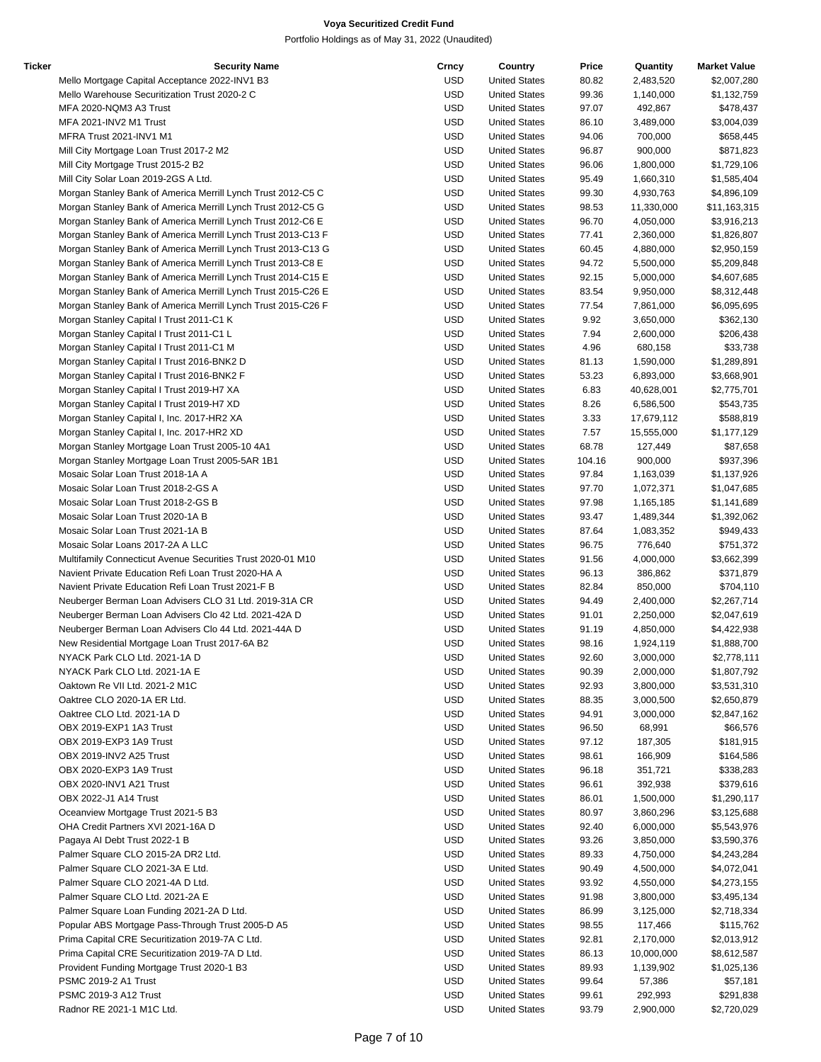| Ticker | <b>Security Name</b>                                          | Crncy      | Country              | Price  | Quantity   | <b>Market Value</b> |
|--------|---------------------------------------------------------------|------------|----------------------|--------|------------|---------------------|
|        | Mello Mortgage Capital Acceptance 2022-INV1 B3                | <b>USD</b> | <b>United States</b> | 80.82  | 2,483,520  | \$2,007,280         |
|        | Mello Warehouse Securitization Trust 2020-2 C                 | <b>USD</b> | <b>United States</b> | 99.36  | 1,140,000  | \$1,132,759         |
|        | MFA 2020-NQM3 A3 Trust                                        | USD        | <b>United States</b> | 97.07  | 492,867    | \$478,437           |
|        | MFA 2021-INV2 M1 Trust                                        | USD        | <b>United States</b> | 86.10  | 3,489,000  | \$3,004,039         |
|        | MFRA Trust 2021-INV1 M1                                       | <b>USD</b> | <b>United States</b> | 94.06  | 700,000    | \$658,445           |
|        | Mill City Mortgage Loan Trust 2017-2 M2                       | USD        | <b>United States</b> | 96.87  | 900,000    | \$871,823           |
|        | Mill City Mortgage Trust 2015-2 B2                            | <b>USD</b> | <b>United States</b> | 96.06  | 1,800,000  | \$1,729,106         |
|        | Mill City Solar Loan 2019-2GS A Ltd.                          | <b>USD</b> | <b>United States</b> | 95.49  | 1,660,310  | \$1,585,404         |
|        | Morgan Stanley Bank of America Merrill Lynch Trust 2012-C5 C  | <b>USD</b> | <b>United States</b> | 99.30  | 4,930,763  | \$4,896,109         |
|        |                                                               |            |                      |        |            |                     |
|        | Morgan Stanley Bank of America Merrill Lynch Trust 2012-C5 G  | USD        | <b>United States</b> | 98.53  | 11,330,000 | \$11,163,315        |
|        | Morgan Stanley Bank of America Merrill Lynch Trust 2012-C6 E  | USD        | <b>United States</b> | 96.70  | 4,050,000  | \$3,916,213         |
|        | Morgan Stanley Bank of America Merrill Lynch Trust 2013-C13 F | USD        | <b>United States</b> | 77.41  | 2,360,000  | \$1,826,807         |
|        | Morgan Stanley Bank of America Merrill Lynch Trust 2013-C13 G | USD        | <b>United States</b> | 60.45  | 4,880,000  | \$2,950,159         |
|        | Morgan Stanley Bank of America Merrill Lynch Trust 2013-C8 E  | USD        | <b>United States</b> | 94.72  | 5,500,000  | \$5,209,848         |
|        | Morgan Stanley Bank of America Merrill Lynch Trust 2014-C15 E | USD        | <b>United States</b> | 92.15  | 5,000,000  | \$4,607,685         |
|        | Morgan Stanley Bank of America Merrill Lynch Trust 2015-C26 E | USD        | <b>United States</b> | 83.54  | 9,950,000  | \$8,312,448         |
|        | Morgan Stanley Bank of America Merrill Lynch Trust 2015-C26 F | <b>USD</b> | <b>United States</b> | 77.54  | 7,861,000  | \$6,095,695         |
|        | Morgan Stanley Capital I Trust 2011-C1 K                      | USD        | <b>United States</b> | 9.92   | 3,650,000  | \$362,130           |
|        | Morgan Stanley Capital I Trust 2011-C1 L                      | USD        | <b>United States</b> | 7.94   | 2,600,000  | \$206,438           |
|        | Morgan Stanley Capital I Trust 2011-C1 M                      | USD        | <b>United States</b> | 4.96   | 680,158    | \$33,738            |
|        | Morgan Stanley Capital I Trust 2016-BNK2 D                    | <b>USD</b> | <b>United States</b> | 81.13  | 1,590,000  | \$1,289,891         |
|        | Morgan Stanley Capital I Trust 2016-BNK2 F                    | USD        | <b>United States</b> | 53.23  | 6,893,000  | \$3,668,901         |
|        | Morgan Stanley Capital I Trust 2019-H7 XA                     | USD        | <b>United States</b> | 6.83   | 40,628,001 | \$2,775,701         |
|        | Morgan Stanley Capital I Trust 2019-H7 XD                     | <b>USD</b> | <b>United States</b> | 8.26   | 6,586,500  | \$543,735           |
|        | Morgan Stanley Capital I, Inc. 2017-HR2 XA                    | <b>USD</b> | <b>United States</b> | 3.33   |            | \$588,819           |
|        |                                                               |            |                      |        | 17,679,112 |                     |
|        | Morgan Stanley Capital I, Inc. 2017-HR2 XD                    | USD        | <b>United States</b> | 7.57   | 15,555,000 | \$1,177,129         |
|        | Morgan Stanley Mortgage Loan Trust 2005-10 4A1                | USD        | <b>United States</b> | 68.78  | 127,449    | \$87,658            |
|        | Morgan Stanley Mortgage Loan Trust 2005-5AR 1B1               | USD        | <b>United States</b> | 104.16 | 900,000    | \$937,396           |
|        | Mosaic Solar Loan Trust 2018-1A A                             | <b>USD</b> | <b>United States</b> | 97.84  | 1,163,039  | \$1,137,926         |
|        | Mosaic Solar Loan Trust 2018-2-GS A                           | USD        | <b>United States</b> | 97.70  | 1,072,371  | \$1,047,685         |
|        | Mosaic Solar Loan Trust 2018-2-GS B                           | USD        | <b>United States</b> | 97.98  | 1,165,185  | \$1,141,689         |
|        | Mosaic Solar Loan Trust 2020-1A B                             | <b>USD</b> | <b>United States</b> | 93.47  | 1,489,344  | \$1,392,062         |
|        | Mosaic Solar Loan Trust 2021-1A B                             | <b>USD</b> | <b>United States</b> | 87.64  | 1,083,352  | \$949,433           |
|        | Mosaic Solar Loans 2017-2A A LLC                              | USD        | <b>United States</b> | 96.75  | 776,640    | \$751,372           |
|        | Multifamily Connecticut Avenue Securities Trust 2020-01 M10   | USD        | <b>United States</b> | 91.56  | 4,000,000  | \$3,662,399         |
|        | Navient Private Education Refi Loan Trust 2020-HA A           | USD        | <b>United States</b> | 96.13  | 386,862    | \$371,879           |
|        | Navient Private Education Refi Loan Trust 2021-F B            | <b>USD</b> | <b>United States</b> | 82.84  | 850,000    | \$704,110           |
|        | Neuberger Berman Loan Advisers CLO 31 Ltd. 2019-31A CR        | USD        | <b>United States</b> | 94.49  | 2,400,000  | \$2,267,714         |
|        | Neuberger Berman Loan Advisers Clo 42 Ltd. 2021-42A D         | USD        | <b>United States</b> | 91.01  | 2,250,000  | \$2,047,619         |
|        |                                                               |            |                      |        |            |                     |
|        | Neuberger Berman Loan Advisers Clo 44 Ltd. 2021-44A D         | USD        | <b>United States</b> | 91.19  | 4,850,000  | \$4,422,938         |
|        | New Residential Mortgage Loan Trust 2017-6A B2                | <b>USD</b> | <b>United States</b> | 98.16  | 1,924,119  | \$1,888,700         |
|        | NYACK Park CLO Ltd. 2021-1A D                                 | <b>USD</b> | <b>United States</b> | 92.60  | 3,000,000  | \$2,778,111         |
|        | NYACK Park CLO Ltd. 2021-1A E                                 | USD        | <b>United States</b> | 90.39  | 2,000,000  | \$1,807,792         |
|        | Oaktown Re VII Ltd. 2021-2 M1C                                | <b>USD</b> | <b>United States</b> | 92.93  | 3,800,000  | \$3,531,310         |
|        | Oaktree CLO 2020-1A ER Ltd.                                   | <b>USD</b> | <b>United States</b> | 88.35  | 3,000,500  | \$2,650,879         |
|        | Oaktree CLO Ltd. 2021-1A D                                    | <b>USD</b> | <b>United States</b> | 94.91  | 3,000,000  | \$2,847,162         |
|        | OBX 2019-EXP1 1A3 Trust                                       | <b>USD</b> | <b>United States</b> | 96.50  | 68,991     | \$66,576            |
|        | OBX 2019-EXP3 1A9 Trust                                       | USD        | <b>United States</b> | 97.12  | 187,305    | \$181,915           |
|        | OBX 2019-INV2 A25 Trust                                       | <b>USD</b> | <b>United States</b> | 98.61  | 166,909    | \$164,586           |
|        | OBX 2020-EXP3 1A9 Trust                                       | USD        | <b>United States</b> | 96.18  | 351,721    | \$338,283           |
|        | OBX 2020-INV1 A21 Trust                                       | <b>USD</b> | <b>United States</b> | 96.61  | 392,938    | \$379,616           |
|        | OBX 2022-J1 A14 Trust                                         | <b>USD</b> | <b>United States</b> | 86.01  | 1,500,000  | \$1,290,117         |
|        | Oceanview Mortgage Trust 2021-5 B3                            | <b>USD</b> | <b>United States</b> | 80.97  | 3,860,296  | \$3,125,688         |
|        | OHA Credit Partners XVI 2021-16A D                            | USD        | <b>United States</b> | 92.40  | 6,000,000  | \$5,543,976         |
|        |                                                               |            |                      |        |            |                     |
|        | Pagaya AI Debt Trust 2022-1 B                                 | USD        | <b>United States</b> | 93.26  | 3,850,000  | \$3,590,376         |
|        | Palmer Square CLO 2015-2A DR2 Ltd.                            | USD        | <b>United States</b> | 89.33  | 4,750,000  | \$4,243,284         |
|        | Palmer Square CLO 2021-3A E Ltd.                              | <b>USD</b> | <b>United States</b> | 90.49  | 4,500,000  | \$4,072,041         |
|        | Palmer Square CLO 2021-4A D Ltd.                              | USD        | <b>United States</b> | 93.92  | 4,550,000  | \$4,273,155         |
|        | Palmer Square CLO Ltd. 2021-2A E                              | <b>USD</b> | <b>United States</b> | 91.98  | 3,800,000  | \$3,495,134         |
|        | Palmer Square Loan Funding 2021-2A D Ltd.                     | <b>USD</b> | <b>United States</b> | 86.99  | 3,125,000  | \$2,718,334         |
|        | Popular ABS Mortgage Pass-Through Trust 2005-D A5             | <b>USD</b> | <b>United States</b> | 98.55  | 117,466    | \$115,762           |
|        | Prima Capital CRE Securitization 2019-7A C Ltd.               | <b>USD</b> | <b>United States</b> | 92.81  | 2,170,000  | \$2,013,912         |
|        | Prima Capital CRE Securitization 2019-7A D Ltd.               | USD        | <b>United States</b> | 86.13  | 10,000,000 | \$8,612,587         |
|        | Provident Funding Mortgage Trust 2020-1 B3                    | USD        | <b>United States</b> | 89.93  | 1,139,902  | \$1,025,136         |
|        | PSMC 2019-2 A1 Trust                                          | <b>USD</b> | <b>United States</b> | 99.64  | 57,386     | \$57,181            |
|        | PSMC 2019-3 A12 Trust                                         | USD        | <b>United States</b> | 99.61  | 292,993    | \$291,838           |
|        | Radnor RE 2021-1 M1C Ltd.                                     | <b>USD</b> | <b>United States</b> | 93.79  | 2,900,000  | \$2,720,029         |
|        |                                                               |            |                      |        |            |                     |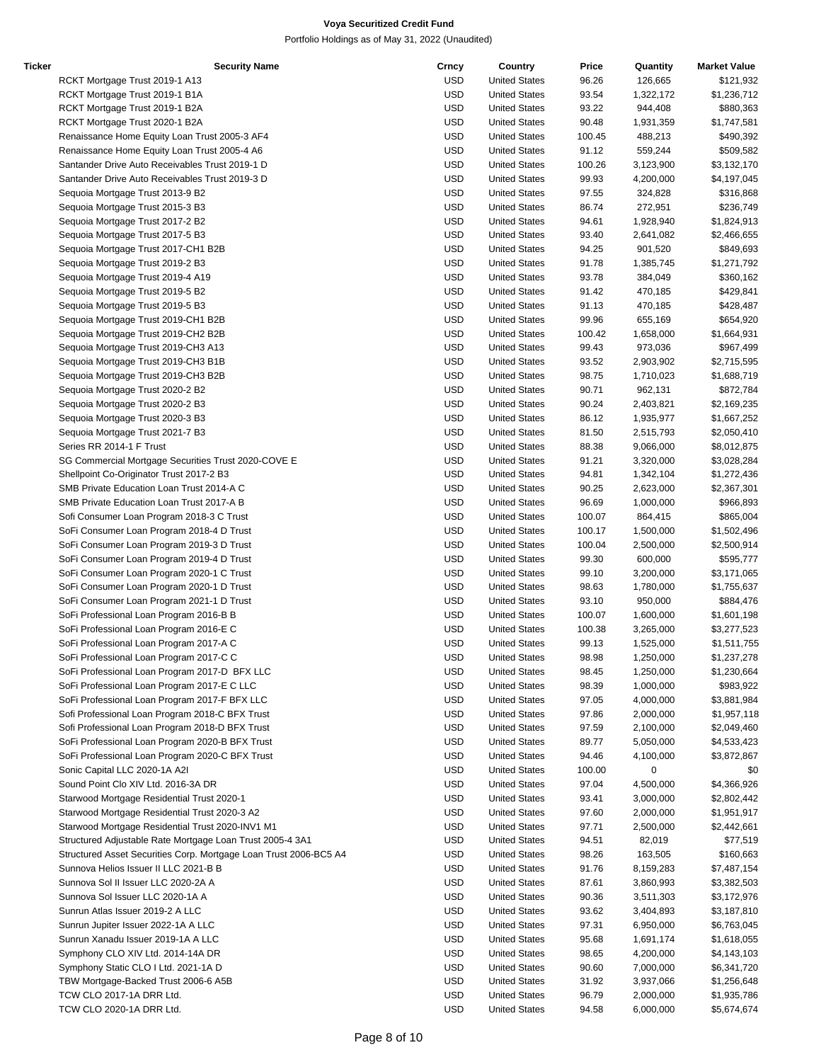| Ticker | <b>Security Name</b>                                              | Crncy      | Country              | Price  | Quantity    | <b>Market Value</b> |
|--------|-------------------------------------------------------------------|------------|----------------------|--------|-------------|---------------------|
|        | RCKT Mortgage Trust 2019-1 A13                                    | USD        | <b>United States</b> | 96.26  | 126,665     | \$121,932           |
|        | RCKT Mortgage Trust 2019-1 B1A                                    | <b>USD</b> | <b>United States</b> | 93.54  | 1,322,172   | \$1,236,712         |
|        | RCKT Mortgage Trust 2019-1 B2A                                    | <b>USD</b> | <b>United States</b> | 93.22  | 944,408     | \$880,363           |
|        | RCKT Mortgage Trust 2020-1 B2A                                    | <b>USD</b> | <b>United States</b> | 90.48  | 1,931,359   | \$1,747,581         |
|        | Renaissance Home Equity Loan Trust 2005-3 AF4                     | USD        | <b>United States</b> | 100.45 | 488,213     | \$490,392           |
|        | Renaissance Home Equity Loan Trust 2005-4 A6                      | <b>USD</b> | <b>United States</b> | 91.12  | 559,244     | \$509,582           |
|        | Santander Drive Auto Receivables Trust 2019-1 D                   | <b>USD</b> | <b>United States</b> | 100.26 | 3,123,900   | \$3,132,170         |
|        | Santander Drive Auto Receivables Trust 2019-3 D                   | <b>USD</b> | <b>United States</b> | 99.93  | 4,200,000   | \$4,197,045         |
|        | Sequoia Mortgage Trust 2013-9 B2                                  | USD        | <b>United States</b> | 97.55  | 324,828     | \$316,868           |
|        | Sequoia Mortgage Trust 2015-3 B3                                  | USD        | <b>United States</b> | 86.74  | 272,951     | \$236,749           |
|        | Sequoia Mortgage Trust 2017-2 B2                                  | <b>USD</b> | <b>United States</b> | 94.61  | 1,928,940   | \$1,824,913         |
|        |                                                                   | <b>USD</b> |                      |        |             |                     |
|        | Sequoia Mortgage Trust 2017-5 B3                                  |            | <b>United States</b> | 93.40  | 2,641,082   | \$2,466,655         |
|        | Sequoia Mortgage Trust 2017-CH1 B2B                               | USD        | <b>United States</b> | 94.25  | 901,520     | \$849,693           |
|        | Sequoia Mortgage Trust 2019-2 B3                                  | <b>USD</b> | <b>United States</b> | 91.78  | 1,385,745   | \$1,271,792         |
|        | Sequoia Mortgage Trust 2019-4 A19                                 | <b>USD</b> | <b>United States</b> | 93.78  | 384,049     | \$360,162           |
|        | Sequoia Mortgage Trust 2019-5 B2                                  | <b>USD</b> | <b>United States</b> | 91.42  | 470,185     | \$429,841           |
|        | Sequoia Mortgage Trust 2019-5 B3                                  | USD        | <b>United States</b> | 91.13  | 470,185     | \$428,487           |
|        | Sequoia Mortgage Trust 2019-CH1 B2B                               | USD        | <b>United States</b> | 99.96  | 655,169     | \$654,920           |
|        | Sequoia Mortgage Trust 2019-CH2 B2B                               | USD        | <b>United States</b> | 100.42 | 1,658,000   | \$1,664,931         |
|        | Sequoia Mortgage Trust 2019-CH3 A13                               | <b>USD</b> | <b>United States</b> | 99.43  | 973,036     | \$967,499           |
|        | Sequoia Mortgage Trust 2019-CH3 B1B                               | USD        | <b>United States</b> | 93.52  | 2,903,902   | \$2,715,595         |
|        | Sequoia Mortgage Trust 2019-CH3 B2B                               | <b>USD</b> | <b>United States</b> | 98.75  | 1,710,023   | \$1,688,719         |
|        | Sequoia Mortgage Trust 2020-2 B2                                  | <b>USD</b> | <b>United States</b> | 90.71  | 962,131     | \$872,784           |
|        | Sequoia Mortgage Trust 2020-2 B3                                  | <b>USD</b> | <b>United States</b> | 90.24  | 2,403,821   | \$2,169,235         |
|        | Sequoia Mortgage Trust 2020-3 B3                                  | USD        | <b>United States</b> | 86.12  | 1,935,977   | \$1,667,252         |
|        | Sequoia Mortgage Trust 2021-7 B3                                  | USD        | <b>United States</b> | 81.50  | 2,515,793   | \$2,050,410         |
|        | Series RR 2014-1 F Trust                                          | <b>USD</b> | <b>United States</b> | 88.38  | 9,066,000   | \$8,012,875         |
|        | SG Commercial Mortgage Securities Trust 2020-COVE E               | <b>USD</b> | <b>United States</b> | 91.21  | 3,320,000   | \$3,028,284         |
|        | Shellpoint Co-Originator Trust 2017-2 B3                          | USD        | <b>United States</b> | 94.81  | 1,342,104   | \$1,272,436         |
|        | SMB Private Education Loan Trust 2014-A C                         | <b>USD</b> | <b>United States</b> | 90.25  | 2,623,000   | \$2,367,301         |
|        | SMB Private Education Loan Trust 2017-A B                         | <b>USD</b> | <b>United States</b> | 96.69  | 1,000,000   | \$966,893           |
|        |                                                                   |            |                      |        |             |                     |
|        | Sofi Consumer Loan Program 2018-3 C Trust                         | <b>USD</b> | <b>United States</b> | 100.07 | 864,415     | \$865,004           |
|        | SoFi Consumer Loan Program 2018-4 D Trust                         | USD        | <b>United States</b> | 100.17 | 1,500,000   | \$1,502,496         |
|        | SoFi Consumer Loan Program 2019-3 D Trust                         | USD        | <b>United States</b> | 100.04 | 2,500,000   | \$2,500,914         |
|        | SoFi Consumer Loan Program 2019-4 D Trust                         | USD        | <b>United States</b> | 99.30  | 600,000     | \$595,777           |
|        | SoFi Consumer Loan Program 2020-1 C Trust                         | <b>USD</b> | <b>United States</b> | 99.10  | 3,200,000   | \$3,171,065         |
|        | SoFi Consumer Loan Program 2020-1 D Trust                         | USD        | <b>United States</b> | 98.63  | 1,780,000   | \$1,755,637         |
|        | SoFi Consumer Loan Program 2021-1 D Trust                         | <b>USD</b> | <b>United States</b> | 93.10  | 950,000     | \$884,476           |
|        | SoFi Professional Loan Program 2016-B B                           | <b>USD</b> | <b>United States</b> | 100.07 | 1,600,000   | \$1,601,198         |
|        | SoFi Professional Loan Program 2016-E C                           | <b>USD</b> | <b>United States</b> | 100.38 | 3,265,000   | \$3,277,523         |
|        | SoFi Professional Loan Program 2017-A C                           | USD        | <b>United States</b> | 99.13  | 1,525,000   | \$1,511,755         |
|        | SoFi Professional Loan Program 2017-C C                           | <b>USD</b> | <b>United States</b> | 98.98  | 1,250,000   | \$1,237,278         |
|        | SoFi Professional Loan Program 2017-D BFX LLC                     | USD        | <b>United States</b> | 98.45  | 1,250,000   | \$1,230,664         |
|        | SoFi Professional Loan Program 2017-E C LLC                       | <b>USD</b> | <b>United States</b> | 98.39  | 1,000,000   | \$983,922           |
|        | SoFi Professional Loan Program 2017-F BFX LLC                     | <b>USD</b> | <b>United States</b> | 97.05  | 4,000,000   | \$3,881,984         |
|        | Sofi Professional Loan Program 2018-C BFX Trust                   | USD        | <b>United States</b> | 97.86  | 2,000,000   | \$1,957,118         |
|        | Sofi Professional Loan Program 2018-D BFX Trust                   | USD        | <b>United States</b> | 97.59  | 2,100,000   | \$2,049,460         |
|        | SoFi Professional Loan Program 2020-B BFX Trust                   | <b>USD</b> | <b>United States</b> | 89.77  | 5,050,000   | \$4,533,423         |
|        | SoFi Professional Loan Program 2020-C BFX Trust                   | USD        | <b>United States</b> | 94.46  | 4,100,000   | \$3,872,867         |
|        | Sonic Capital LLC 2020-1A A2I                                     | USD        | <b>United States</b> | 100.00 | $\mathbf 0$ | \$0                 |
|        | Sound Point Clo XIV Ltd. 2016-3A DR                               | <b>USD</b> | <b>United States</b> | 97.04  | 4,500,000   | \$4,366,926         |
|        | Starwood Mortgage Residential Trust 2020-1                        | <b>USD</b> | <b>United States</b> | 93.41  | 3,000,000   | \$2,802,442         |
|        | Starwood Mortgage Residential Trust 2020-3 A2                     | USD        | <b>United States</b> | 97.60  | 2,000,000   | \$1,951,917         |
|        | Starwood Mortgage Residential Trust 2020-INV1 M1                  | USD        | <b>United States</b> | 97.71  | 2,500,000   | \$2,442,661         |
|        |                                                                   |            |                      |        |             |                     |
|        | Structured Adjustable Rate Mortgage Loan Trust 2005-4 3A1         | USD        | <b>United States</b> | 94.51  | 82,019      | \$77,519            |
|        | Structured Asset Securities Corp. Mortgage Loan Trust 2006-BC5 A4 | USD        | <b>United States</b> | 98.26  | 163,505     | \$160,663           |
|        | Sunnova Helios Issuer II LLC 2021-B B                             | USD        | <b>United States</b> | 91.76  | 8,159,283   | \$7,487,154         |
|        | Sunnova Sol II Issuer LLC 2020-2A A                               | USD        | <b>United States</b> | 87.61  | 3,860,993   | \$3,382,503         |
|        | Sunnova Sol Issuer LLC 2020-1A A                                  | <b>USD</b> | <b>United States</b> | 90.36  | 3,511,303   | \$3,172,976         |
|        | Sunrun Atlas Issuer 2019-2 A LLC                                  | <b>USD</b> | <b>United States</b> | 93.62  | 3,404,893   | \$3,187,810         |
|        | Sunrun Jupiter Issuer 2022-1A A LLC                               | USD        | <b>United States</b> | 97.31  | 6,950,000   | \$6,763,045         |
|        | Sunrun Xanadu Issuer 2019-1A A LLC                                | USD        | <b>United States</b> | 95.68  | 1,691,174   | \$1,618,055         |
|        | Symphony CLO XIV Ltd. 2014-14A DR                                 | USD        | <b>United States</b> | 98.65  | 4,200,000   | \$4,143,103         |
|        | Symphony Static CLO I Ltd. 2021-1A D                              | USD        | <b>United States</b> | 90.60  | 7,000,000   | \$6,341,720         |
|        | TBW Mortgage-Backed Trust 2006-6 A5B                              | USD        | <b>United States</b> | 31.92  | 3,937,066   | \$1,256,648         |
|        | TCW CLO 2017-1A DRR Ltd.                                          | <b>USD</b> | <b>United States</b> | 96.79  | 2,000,000   | \$1,935,786         |
|        | TCW CLO 2020-1A DRR Ltd.                                          | <b>USD</b> | <b>United States</b> | 94.58  | 6,000,000   | \$5,674,674         |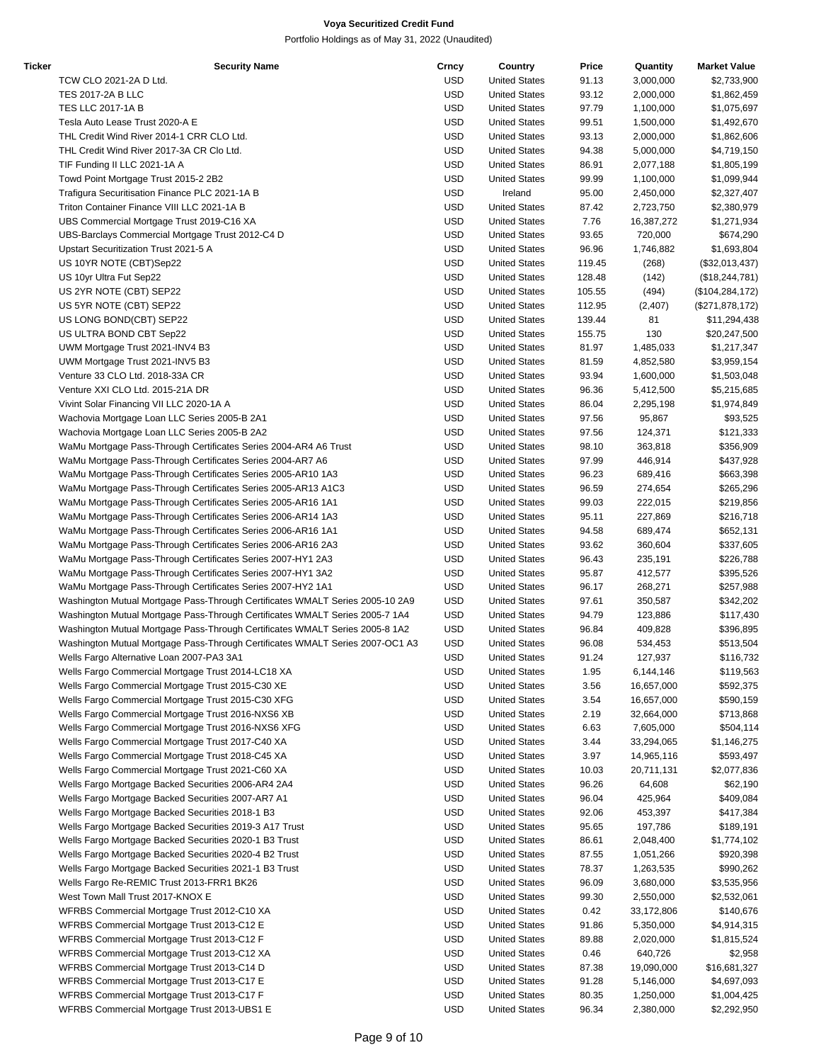| Ticker | <b>Security Name</b>                                                          | Crncy      | Country              | Price  | Quantity   | <b>Market Value</b> |
|--------|-------------------------------------------------------------------------------|------------|----------------------|--------|------------|---------------------|
|        | TCW CLO 2021-2A D Ltd.                                                        | USD        | <b>United States</b> | 91.13  | 3,000,000  | \$2,733,900         |
|        | <b>TES 2017-2A B LLC</b>                                                      | <b>USD</b> | <b>United States</b> | 93.12  | 2,000,000  | \$1,862,459         |
|        | <b>TES LLC 2017-1A B</b>                                                      | <b>USD</b> | <b>United States</b> | 97.79  | 1,100,000  | \$1,075,697         |
|        | Tesla Auto Lease Trust 2020-A E                                               | <b>USD</b> | <b>United States</b> | 99.51  | 1,500,000  | \$1,492,670         |
|        | THL Credit Wind River 2014-1 CRR CLO Ltd.                                     | USD        | <b>United States</b> | 93.13  | 2,000,000  | \$1,862,606         |
|        | THL Credit Wind River 2017-3A CR Clo Ltd.                                     | <b>USD</b> | <b>United States</b> | 94.38  | 5,000,000  | \$4,719,150         |
|        | TIF Funding II LLC 2021-1A A                                                  | <b>USD</b> | <b>United States</b> | 86.91  | 2,077,188  | \$1,805,199         |
|        |                                                                               | <b>USD</b> |                      |        |            |                     |
|        | Towd Point Mortgage Trust 2015-2 2B2                                          |            | <b>United States</b> | 99.99  | 1,100,000  | \$1,099,944         |
|        | Trafigura Securitisation Finance PLC 2021-1A B                                | USD        | Ireland              | 95.00  | 2,450,000  | \$2,327,407         |
|        | Triton Container Finance VIII LLC 2021-1A B                                   | USD        | <b>United States</b> | 87.42  | 2,723,750  | \$2,380,979         |
|        | UBS Commercial Mortgage Trust 2019-C16 XA                                     | USD        | <b>United States</b> | 7.76   | 16,387,272 | \$1,271,934         |
|        | UBS-Barclays Commercial Mortgage Trust 2012-C4 D                              | <b>USD</b> | <b>United States</b> | 93.65  | 720,000    | \$674,290           |
|        | Upstart Securitization Trust 2021-5 A                                         | USD        | <b>United States</b> | 96.96  | 1,746,882  | \$1,693,804         |
|        | US 10YR NOTE (CBT)Sep22                                                       | <b>USD</b> | <b>United States</b> | 119.45 | (268)      | (\$32,013,437)      |
|        | US 10yr Ultra Fut Sep22                                                       | <b>USD</b> | <b>United States</b> | 128.48 | (142)      | (\$18, 244, 781)    |
|        | US 2YR NOTE (CBT) SEP22                                                       | <b>USD</b> | <b>United States</b> | 105.55 | (494)      | (\$104, 284, 172)   |
|        | US 5YR NOTE (CBT) SEP22                                                       | USD        | <b>United States</b> | 112.95 | (2,407)    | (\$271,878,172)     |
|        | US LONG BOND(CBT) SEP22                                                       | USD        | <b>United States</b> | 139.44 | 81         | \$11,294,438        |
|        | US ULTRA BOND CBT Sep22                                                       | USD        | <b>United States</b> | 155.75 | 130        | \$20,247,500        |
|        | UWM Mortgage Trust 2021-INV4 B3                                               | <b>USD</b> | <b>United States</b> | 81.97  | 1,485,033  | \$1,217,347         |
|        | UWM Mortgage Trust 2021-INV5 B3                                               | USD        | <b>United States</b> | 81.59  | 4,852,580  | \$3,959,154         |
|        |                                                                               |            |                      |        |            |                     |
|        | Venture 33 CLO Ltd. 2018-33A CR                                               | USD        | <b>United States</b> | 93.94  | 1,600,000  | \$1,503,048         |
|        | Venture XXI CLO Ltd. 2015-21A DR                                              | <b>USD</b> | <b>United States</b> | 96.36  | 5,412,500  | \$5,215,685         |
|        | Vivint Solar Financing VII LLC 2020-1A A                                      | <b>USD</b> | <b>United States</b> | 86.04  | 2,295,198  | \$1,974,849         |
|        | Wachovia Mortgage Loan LLC Series 2005-B 2A1                                  | USD        | <b>United States</b> | 97.56  | 95,867     | \$93,525            |
|        | Wachovia Mortgage Loan LLC Series 2005-B 2A2                                  | USD        | <b>United States</b> | 97.56  | 124,371    | \$121,333           |
|        | WaMu Mortgage Pass-Through Certificates Series 2004-AR4 A6 Trust              | USD        | <b>United States</b> | 98.10  | 363,818    | \$356,909           |
|        | WaMu Mortgage Pass-Through Certificates Series 2004-AR7 A6                    | USD        | <b>United States</b> | 97.99  | 446,914    | \$437,928           |
|        | WaMu Mortgage Pass-Through Certificates Series 2005-AR10 1A3                  | USD        | <b>United States</b> | 96.23  | 689,416    | \$663,398           |
|        | WaMu Mortgage Pass-Through Certificates Series 2005-AR13 A1C3                 | USD        | <b>United States</b> | 96.59  | 274,654    | \$265,296           |
|        | WaMu Mortgage Pass-Through Certificates Series 2005-AR16 1A1                  | USD        | <b>United States</b> | 99.03  | 222,015    | \$219,856           |
|        | WaMu Mortgage Pass-Through Certificates Series 2006-AR14 1A3                  | <b>USD</b> | <b>United States</b> | 95.11  | 227,869    | \$216,718           |
|        | WaMu Mortgage Pass-Through Certificates Series 2006-AR16 1A1                  | <b>USD</b> | <b>United States</b> | 94.58  | 689,474    | \$652,131           |
|        | WaMu Mortgage Pass-Through Certificates Series 2006-AR16 2A3                  | USD        | <b>United States</b> | 93.62  | 360,604    | \$337,605           |
|        |                                                                               |            |                      |        |            |                     |
|        | WaMu Mortgage Pass-Through Certificates Series 2007-HY1 2A3                   | USD        | <b>United States</b> | 96.43  | 235,191    | \$226,788           |
|        | WaMu Mortgage Pass-Through Certificates Series 2007-HY1 3A2                   | USD        | <b>United States</b> | 95.87  | 412,577    | \$395,526           |
|        | WaMu Mortgage Pass-Through Certificates Series 2007-HY2 1A1                   | <b>USD</b> | <b>United States</b> | 96.17  | 268,271    | \$257,988           |
|        | Washington Mutual Mortgage Pass-Through Certificates WMALT Series 2005-10 2A9 | <b>USD</b> | <b>United States</b> | 97.61  | 350,587    | \$342,202           |
|        | Washington Mutual Mortgage Pass-Through Certificates WMALT Series 2005-7 1A4  | USD        | <b>United States</b> | 94.79  | 123,886    | \$117,430           |
|        | Washington Mutual Mortgage Pass-Through Certificates WMALT Series 2005-8 1A2  | USD        | <b>United States</b> | 96.84  | 409,828    | \$396,895           |
|        | Washington Mutual Mortgage Pass-Through Certificates WMALT Series 2007-OC1 A3 | USD        | <b>United States</b> | 96.08  | 534,453    | \$513,504           |
|        | Wells Fargo Alternative Loan 2007-PA3 3A1                                     | <b>USD</b> | <b>United States</b> | 91.24  | 127,937    | \$116,732           |
|        | Wells Fargo Commercial Mortgage Trust 2014-LC18 XA                            | USD        | <b>United States</b> | 1.95   | 6,144,146  | \$119,563           |
|        | Wells Fargo Commercial Mortgage Trust 2015-C30 XE                             | <b>USD</b> | <b>United States</b> | 3.56   | 16,657,000 | \$592,375           |
|        | Wells Fargo Commercial Mortgage Trust 2015-C30 XFG                            | <b>USD</b> | <b>United States</b> | 3.54   | 16,657,000 | \$590,159           |
|        | Wells Fargo Commercial Mortgage Trust 2016-NXS6 XB                            | USD        | <b>United States</b> | 2.19   | 32,664,000 | \$713,868           |
|        |                                                                               |            |                      |        |            |                     |
|        | Wells Fargo Commercial Mortgage Trust 2016-NXS6 XFG                           | USD        | <b>United States</b> | 6.63   | 7,605,000  | \$504,114           |
|        | Wells Fargo Commercial Mortgage Trust 2017-C40 XA                             | USD        | <b>United States</b> | 3.44   | 33,294,065 | \$1,146,275         |
|        | Wells Fargo Commercial Mortgage Trust 2018-C45 XA                             | USD        | <b>United States</b> | 3.97   | 14,965,116 | \$593,497           |
|        | Wells Fargo Commercial Mortgage Trust 2021-C60 XA                             | USD        | <b>United States</b> | 10.03  | 20,711,131 | \$2,077,836         |
|        | Wells Fargo Mortgage Backed Securities 2006-AR4 2A4                           | USD        | <b>United States</b> | 96.26  | 64,608     | \$62,190            |
|        | Wells Fargo Mortgage Backed Securities 2007-AR7 A1                            | <b>USD</b> | <b>United States</b> | 96.04  | 425,964    | \$409,084           |
|        | Wells Fargo Mortgage Backed Securities 2018-1 B3                              | <b>USD</b> | <b>United States</b> | 92.06  | 453,397    | \$417,384           |
|        | Wells Fargo Mortgage Backed Securities 2019-3 A17 Trust                       | USD        | <b>United States</b> | 95.65  | 197,786    | \$189,191           |
|        | Wells Fargo Mortgage Backed Securities 2020-1 B3 Trust                        | USD        | <b>United States</b> | 86.61  | 2,048,400  | \$1,774,102         |
|        | Wells Fargo Mortgage Backed Securities 2020-4 B2 Trust                        | USD        | <b>United States</b> | 87.55  | 1,051,266  | \$920,398           |
|        | Wells Fargo Mortgage Backed Securities 2021-1 B3 Trust                        | <b>USD</b> | <b>United States</b> | 78.37  | 1,263,535  | \$990,262           |
|        | Wells Fargo Re-REMIC Trust 2013-FRR1 BK26                                     | <b>USD</b> | <b>United States</b> | 96.09  | 3,680,000  | \$3,535,956         |
|        |                                                                               |            |                      |        |            |                     |
|        | West Town Mall Trust 2017-KNOX E                                              | <b>USD</b> | <b>United States</b> | 99.30  | 2,550,000  | \$2,532,061         |
|        | WFRBS Commercial Mortgage Trust 2012-C10 XA                                   | <b>USD</b> | <b>United States</b> | 0.42   | 33,172,806 | \$140,676           |
|        | WFRBS Commercial Mortgage Trust 2013-C12 E                                    | <b>USD</b> | <b>United States</b> | 91.86  | 5,350,000  | \$4,914,315         |
|        | WFRBS Commercial Mortgage Trust 2013-C12 F                                    | USD        | <b>United States</b> | 89.88  | 2,020,000  | \$1,815,524         |
|        | WFRBS Commercial Mortgage Trust 2013-C12 XA                                   | USD        | <b>United States</b> | 0.46   | 640,726    | \$2,958             |
|        | WFRBS Commercial Mortgage Trust 2013-C14 D                                    | USD        | <b>United States</b> | 87.38  | 19,090,000 | \$16,681,327        |
|        | WFRBS Commercial Mortgage Trust 2013-C17 E                                    | <b>USD</b> | <b>United States</b> | 91.28  | 5,146,000  | \$4,697,093         |
|        | WFRBS Commercial Mortgage Trust 2013-C17 F                                    | <b>USD</b> | <b>United States</b> | 80.35  | 1,250,000  | \$1,004,425         |
|        | WFRBS Commercial Mortgage Trust 2013-UBS1 E                                   | <b>USD</b> | <b>United States</b> | 96.34  | 2,380,000  | \$2,292,950         |